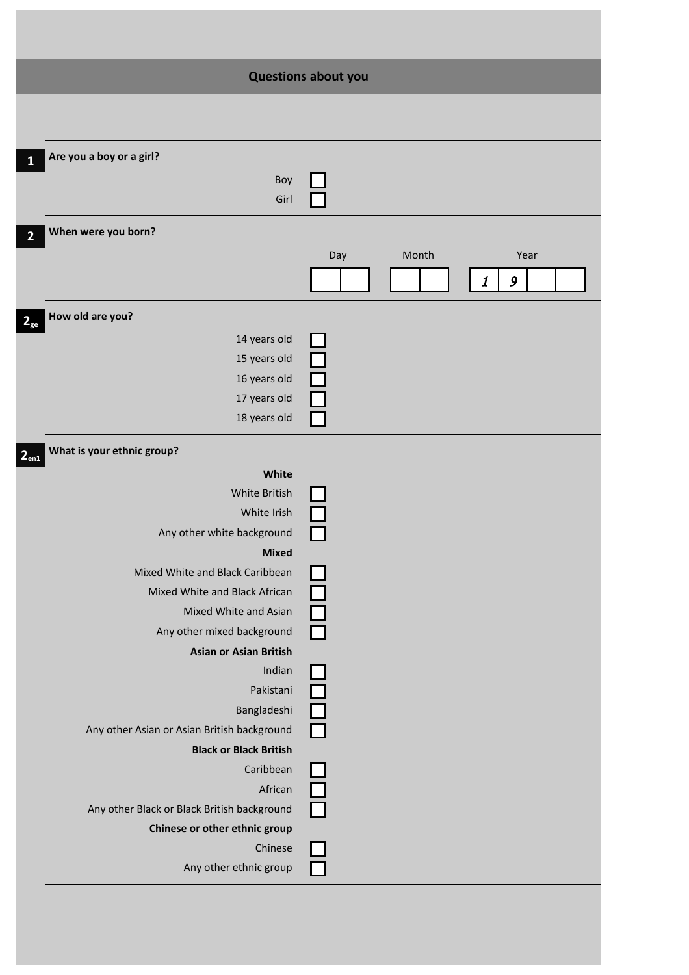|                                                             | <b>Questions about you</b>     |
|-------------------------------------------------------------|--------------------------------|
|                                                             |                                |
|                                                             |                                |
| Are you a boy or a girl?<br>1                               |                                |
| Boy                                                         |                                |
| Girl                                                        |                                |
| When were you born?<br>2                                    |                                |
|                                                             | Month<br>Day<br>Year           |
|                                                             | $\boldsymbol{\mathit{1}}$<br>9 |
| How old are you?                                            |                                |
| $2_{ge}$<br>14 years old                                    |                                |
| 15 years old                                                |                                |
| 16 years old                                                |                                |
| 17 years old                                                |                                |
| 18 years old                                                |                                |
| What is your ethnic group?<br>2 <sub>en1</sub>              |                                |
| White                                                       |                                |
| White British                                               |                                |
| White Irish                                                 |                                |
| Any other white background                                  |                                |
| <b>Mixed</b>                                                |                                |
| Mixed White and Black Caribbean                             |                                |
| Mixed White and Black African                               |                                |
| Mixed White and Asian                                       |                                |
| Any other mixed background<br><b>Asian or Asian British</b> |                                |
| Indian                                                      |                                |
| Pakistani                                                   |                                |
| Bangladeshi                                                 |                                |
| Any other Asian or Asian British background                 |                                |
| <b>Black or Black British</b>                               |                                |
| Caribbean                                                   |                                |
| African                                                     |                                |
| Any other Black or Black British background                 |                                |
| Chinese or other ethnic group                               |                                |
| Chinese                                                     |                                |
| Any other ethnic group                                      |                                |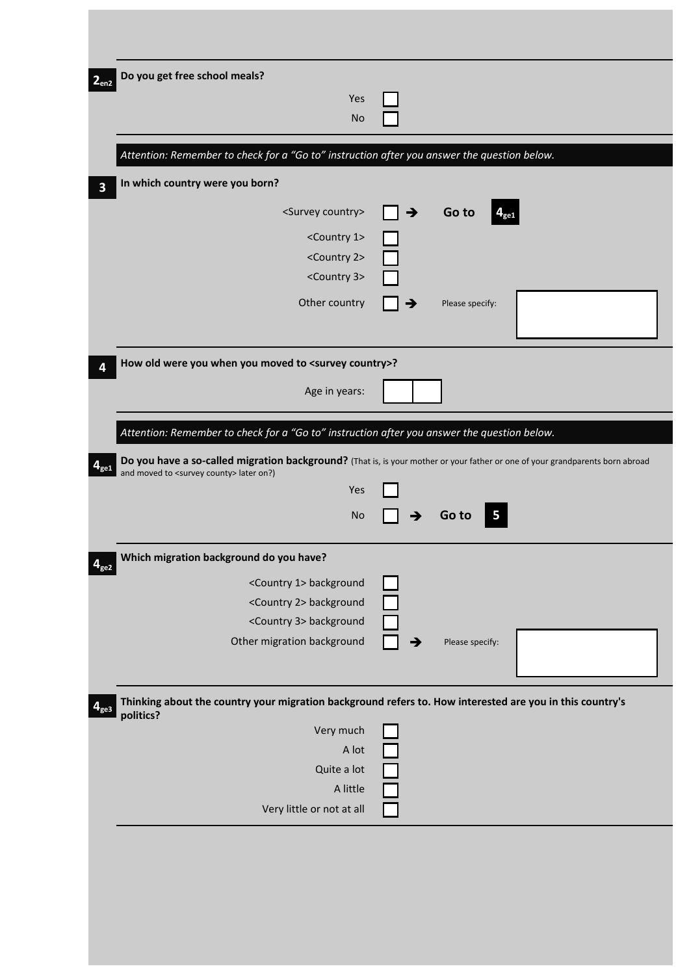| Do you get free school meals?                                                                                                                                                        |               |                 |  |
|--------------------------------------------------------------------------------------------------------------------------------------------------------------------------------------|---------------|-----------------|--|
| Yes<br><b>No</b>                                                                                                                                                                     |               |                 |  |
|                                                                                                                                                                                      |               |                 |  |
| Attention: Remember to check for a "Go to" instruction after you answer the question below.                                                                                          |               |                 |  |
| In which country were you born?                                                                                                                                                      |               |                 |  |
| <survey country=""></survey>                                                                                                                                                         | $\rightarrow$ | Go to           |  |
| <country 1=""></country>                                                                                                                                                             |               |                 |  |
| <country 2=""></country>                                                                                                                                                             |               |                 |  |
| <country 3=""></country>                                                                                                                                                             |               |                 |  |
| Other country                                                                                                                                                                        |               | Please specify: |  |
|                                                                                                                                                                                      |               |                 |  |
| How old were you when you moved to <survey country="">?</survey>                                                                                                                     |               |                 |  |
| Age in years:                                                                                                                                                                        |               |                 |  |
|                                                                                                                                                                                      |               |                 |  |
| Attention: Remember to check for a "Go to" instruction after you answer the question below.                                                                                          |               |                 |  |
| Do you have a so-called migration background? (That is, is your mother or your father or one of your grandparents born abroad<br>and moved to <survey county=""> later on?)</survey> |               |                 |  |
| Yes                                                                                                                                                                                  |               |                 |  |
| <b>No</b>                                                                                                                                                                            | →             | Go to<br>5      |  |
|                                                                                                                                                                                      |               |                 |  |
| Which migration background do you have?                                                                                                                                              |               |                 |  |
| <country 1=""> background</country>                                                                                                                                                  |               |                 |  |
|                                                                                                                                                                                      |               |                 |  |
| <country 2=""> background</country>                                                                                                                                                  |               |                 |  |
| <country 3=""> background<br/>Other migration background</country>                                                                                                                   |               | Please specify: |  |
|                                                                                                                                                                                      |               |                 |  |
|                                                                                                                                                                                      |               |                 |  |
| Thinking about the country your migration background refers to. How interested are you in this country's<br>politics?                                                                |               |                 |  |
| Very much                                                                                                                                                                            |               |                 |  |
| A lot                                                                                                                                                                                |               |                 |  |
| Quite a lot<br>A little                                                                                                                                                              |               |                 |  |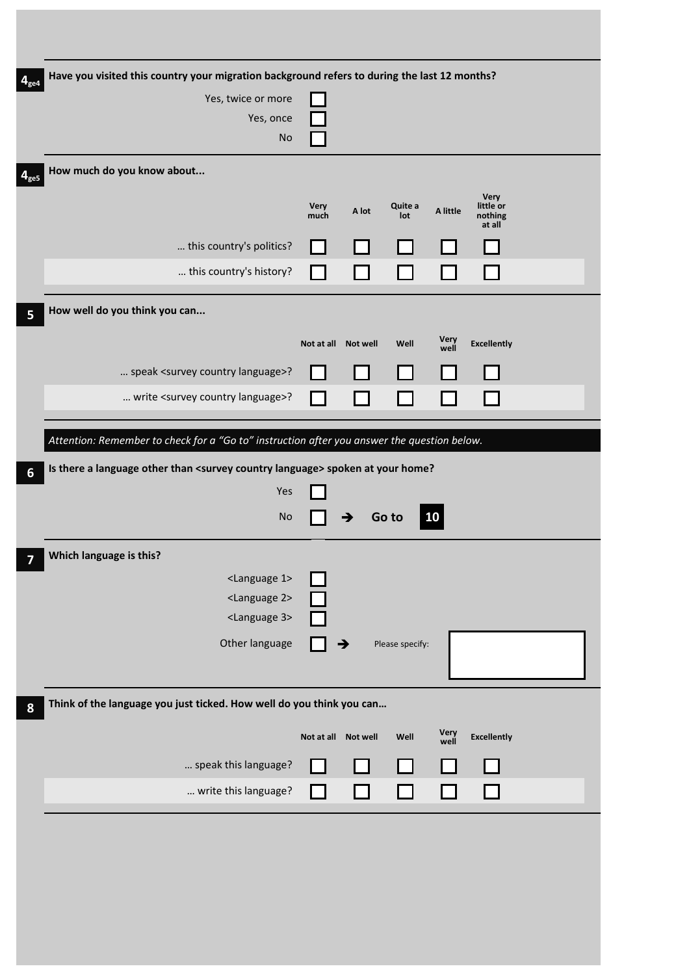| Have you visited this country your migration background refers to during the last 12 months? |                     |                 |                 |                     |                                |  |
|----------------------------------------------------------------------------------------------|---------------------|-----------------|-----------------|---------------------|--------------------------------|--|
| Yes, twice or more                                                                           |                     |                 |                 |                     |                                |  |
| Yes, once<br><b>No</b>                                                                       |                     |                 |                 |                     |                                |  |
| How much do you know about                                                                   |                     |                 |                 |                     |                                |  |
|                                                                                              |                     |                 |                 |                     | <b>Very</b>                    |  |
|                                                                                              | <b>Very</b><br>much | A lot           | Quite a<br>lot  | A little            | little or<br>nothing<br>at all |  |
| this country's politics?                                                                     |                     |                 |                 |                     |                                |  |
| this country's history?                                                                      |                     |                 |                 |                     |                                |  |
| How well do you think you can                                                                |                     |                 |                 |                     |                                |  |
|                                                                                              |                     |                 |                 |                     |                                |  |
|                                                                                              | Not at all          | <b>Not well</b> | Well            | <b>Very</b><br>well | <b>Excellently</b>             |  |
| speak <survey country="" language="">?</survey>                                              |                     |                 |                 |                     |                                |  |
| write <survey country="" language="">?</survey>                                              |                     |                 |                 |                     |                                |  |
| Attention: Remember to check for a "Go to" instruction after you answer the question below.  |                     |                 |                 |                     |                                |  |
| Is there a language other than <survey country="" language=""> spoken at your home?</survey> |                     |                 |                 |                     |                                |  |
| Yes                                                                                          |                     |                 |                 |                     |                                |  |
| <b>No</b>                                                                                    |                     |                 | Go to           | $\overline{10}$     |                                |  |
|                                                                                              |                     |                 |                 |                     |                                |  |
| Which language is this?<br><language 1=""></language>                                        |                     |                 |                 |                     |                                |  |
| <language 2=""></language>                                                                   |                     |                 |                 |                     |                                |  |
| <language 3=""></language>                                                                   |                     |                 |                 |                     |                                |  |
| Other language                                                                               |                     | →               | Please specify: |                     |                                |  |
|                                                                                              |                     |                 |                 |                     |                                |  |
|                                                                                              |                     |                 |                 |                     |                                |  |
| Think of the language you just ticked. How well do you think you can                         |                     |                 |                 |                     |                                |  |
|                                                                                              | Not at all Not well |                 | Well            |                     |                                |  |
|                                                                                              |                     |                 |                 | Very<br>well        | <b>Excellently</b>             |  |
| speak this language?<br>write this language?                                                 |                     |                 |                 |                     |                                |  |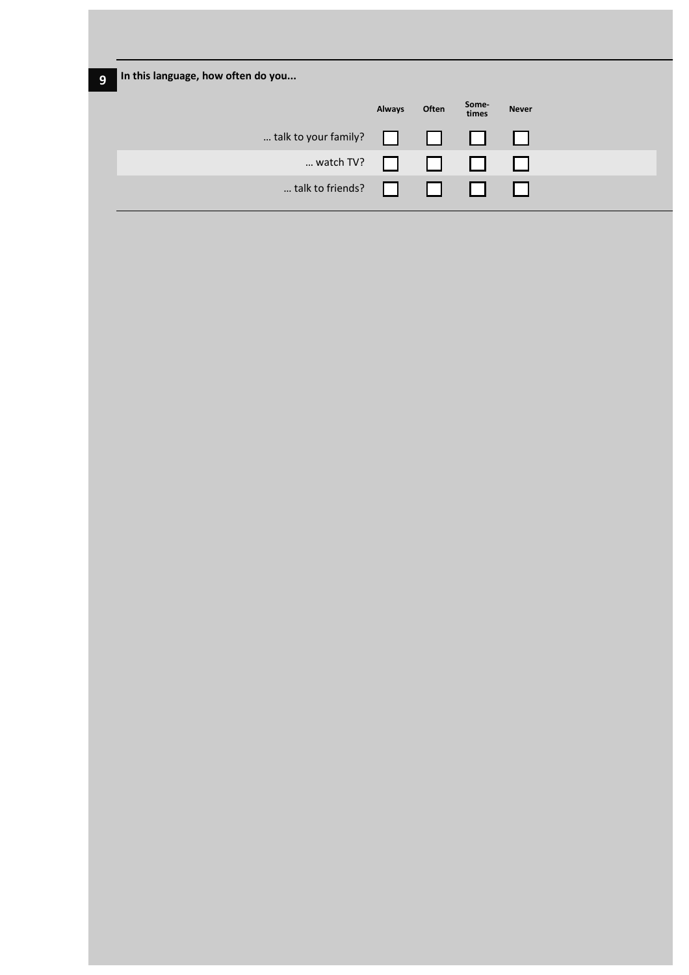| In this language, how often do you |               |       |                |              |
|------------------------------------|---------------|-------|----------------|--------------|
|                                    | <b>Always</b> | Often | Some-<br>times | <b>Never</b> |
| talk to your family?               |               | ш     | l 1            | l 1          |
| watch TV?                          | $\mathbf{L}$  | . .   | l 1            |              |
| talk to friends?                   | . .           | . .   |                |              |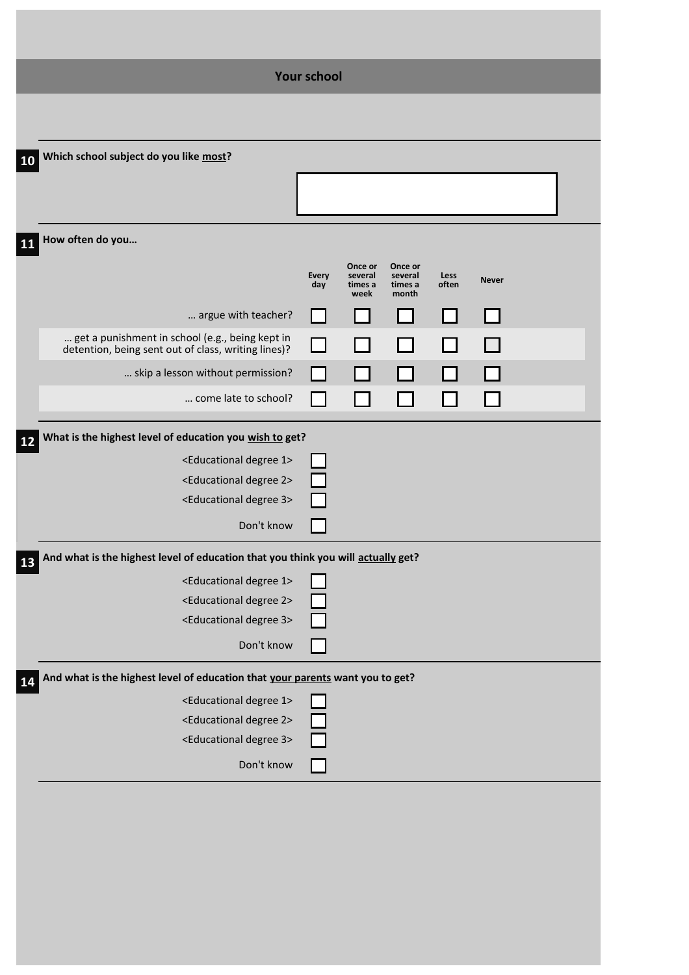|                                                                                                        | <b>Your school</b>  |                            |                             |               |              |  |
|--------------------------------------------------------------------------------------------------------|---------------------|----------------------------|-----------------------------|---------------|--------------|--|
|                                                                                                        |                     |                            |                             |               |              |  |
| Which school subject do you like most?<br>10                                                           |                     |                            |                             |               |              |  |
|                                                                                                        |                     |                            |                             |               |              |  |
|                                                                                                        |                     |                            |                             |               |              |  |
| How often do you<br>11                                                                                 |                     |                            |                             |               |              |  |
|                                                                                                        |                     | Once or                    | Once or                     |               |              |  |
|                                                                                                        | <b>Every</b><br>day | several<br>times a<br>week | several<br>times a<br>month | Less<br>often | <b>Never</b> |  |
| argue with teacher?                                                                                    |                     |                            |                             |               |              |  |
| get a punishment in school (e.g., being kept in<br>detention, being sent out of class, writing lines)? | $\Box$              |                            |                             |               |              |  |
| skip a lesson without permission?                                                                      |                     |                            |                             |               |              |  |
| come late to school?                                                                                   |                     |                            |                             |               |              |  |
|                                                                                                        |                     |                            |                             |               |              |  |
| What is the highest level of education you wish to get?<br>12                                          |                     |                            |                             |               |              |  |
| <educational 1="" degree=""></educational>                                                             |                     |                            |                             |               |              |  |
| <educational 2="" degree=""></educational>                                                             |                     |                            |                             |               |              |  |
| <educational 3="" degree=""></educational>                                                             |                     |                            |                             |               |              |  |
| Don't know                                                                                             |                     |                            |                             |               |              |  |
| And what is the highest level of education that you think you will actually get?<br>13                 |                     |                            |                             |               |              |  |
| <educational 1="" degree=""></educational>                                                             |                     |                            |                             |               |              |  |
| <educational 2="" degree=""></educational>                                                             |                     |                            |                             |               |              |  |
| <educational 3="" degree=""></educational>                                                             |                     |                            |                             |               |              |  |
|                                                                                                        |                     |                            |                             |               |              |  |
| Don't know                                                                                             |                     |                            |                             |               |              |  |
| And what is the highest level of education that your parents want you to get?<br>14                    |                     |                            |                             |               |              |  |
| <educational 1="" degree=""></educational>                                                             |                     |                            |                             |               |              |  |
| <educational 2="" degree=""></educational>                                                             |                     |                            |                             |               |              |  |
| <educational 3="" degree=""></educational>                                                             |                     |                            |                             |               |              |  |
| Don't know                                                                                             |                     |                            |                             |               |              |  |
|                                                                                                        |                     |                            |                             |               |              |  |
|                                                                                                        |                     |                            |                             |               |              |  |
|                                                                                                        |                     |                            |                             |               |              |  |
|                                                                                                        |                     |                            |                             |               |              |  |
|                                                                                                        |                     |                            |                             |               |              |  |
|                                                                                                        |                     |                            |                             |               |              |  |
|                                                                                                        |                     |                            |                             |               |              |  |
|                                                                                                        |                     |                            |                             |               |              |  |
|                                                                                                        |                     |                            |                             |               |              |  |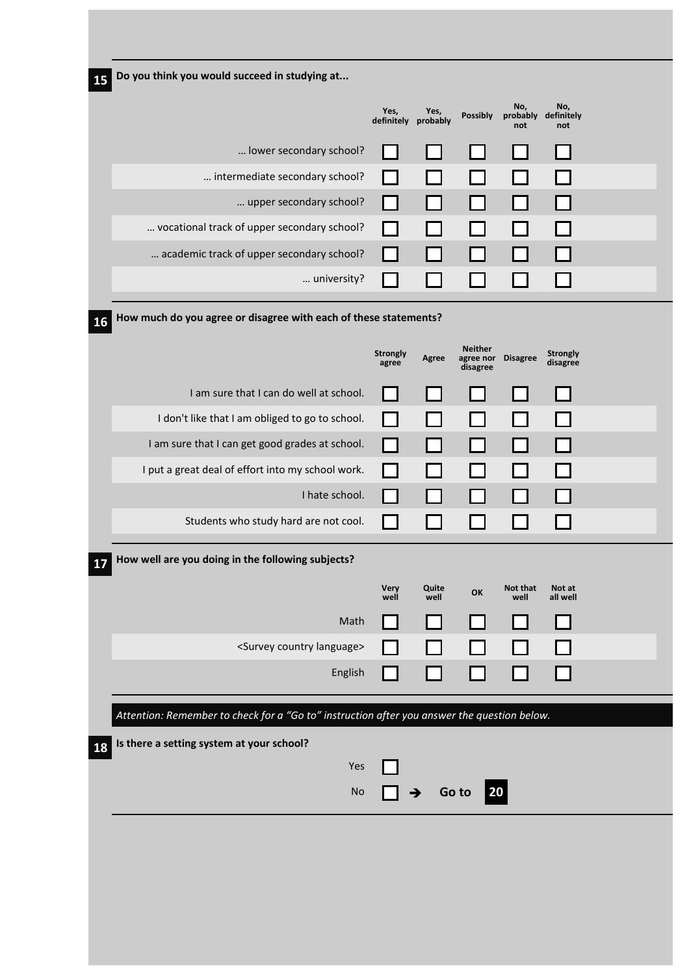| 15        | Do you think you would succeed in studying at                                               |                             |               |                                                  |                                   |                             |  |
|-----------|---------------------------------------------------------------------------------------------|-----------------------------|---------------|--------------------------------------------------|-----------------------------------|-----------------------------|--|
|           |                                                                                             | Yes,<br>definitely probably | Yes,          | <b>Possibly</b>                                  | No,<br>probably definitely<br>not | No,<br>not                  |  |
|           | lower secondary school?                                                                     |                             |               |                                                  |                                   |                             |  |
|           | intermediate secondary school?                                                              |                             |               |                                                  |                                   | $\mathsf{L}$                |  |
|           | upper secondary school?                                                                     |                             |               |                                                  |                                   | ΙI                          |  |
|           | vocational track of upper secondary school?                                                 |                             |               |                                                  |                                   | <b>Contract</b>             |  |
|           | academic track of upper secondary school?                                                   |                             |               |                                                  |                                   |                             |  |
|           | university?                                                                                 |                             |               |                                                  |                                   |                             |  |
| <b>16</b> | How much do you agree or disagree with each of these statements?                            |                             |               |                                                  |                                   |                             |  |
|           |                                                                                             | <b>Strongly</b><br>agree    | Agree         | <b>Neither</b><br>agree nor Disagree<br>disagree |                                   | <b>Strongly</b><br>disagree |  |
|           | I am sure that I can do well at school.                                                     |                             |               |                                                  |                                   |                             |  |
|           | I don't like that I am obliged to go to school.                                             |                             |               |                                                  |                                   |                             |  |
|           | I am sure that I can get good grades at school.                                             |                             |               |                                                  |                                   | $\mathsf{L}$                |  |
|           | I put a great deal of effort into my school work.                                           |                             |               |                                                  |                                   |                             |  |
|           | I hate school.                                                                              |                             |               |                                                  |                                   |                             |  |
|           | Students who study hard are not cool.                                                       |                             |               |                                                  |                                   |                             |  |
| 17        | How well are you doing in the following subjects?                                           |                             |               |                                                  |                                   |                             |  |
|           |                                                                                             | Very<br>well                | Quite<br>well | OK                                               | Not that<br>well                  | Not at<br>all well          |  |
|           | Math                                                                                        |                             |               |                                                  |                                   | $\mathbf{I}$                |  |
|           | <survey country="" language=""></survey>                                                    |                             |               |                                                  |                                   |                             |  |
|           | English                                                                                     |                             |               |                                                  |                                   |                             |  |
|           | Attention: Remember to check for a "Go to" instruction after you answer the question below. |                             |               |                                                  |                                   |                             |  |
| <b>18</b> | Is there a setting system at your school?                                                   |                             |               |                                                  |                                   |                             |  |
|           | Yes                                                                                         |                             |               |                                                  |                                   |                             |  |
|           | No                                                                                          |                             | →             | 20<br>Go to                                      |                                   |                             |  |
|           |                                                                                             |                             |               |                                                  |                                   |                             |  |
|           |                                                                                             |                             |               |                                                  |                                   |                             |  |
|           |                                                                                             |                             |               |                                                  |                                   |                             |  |
|           |                                                                                             |                             |               |                                                  |                                   |                             |  |
|           |                                                                                             |                             |               |                                                  |                                   |                             |  |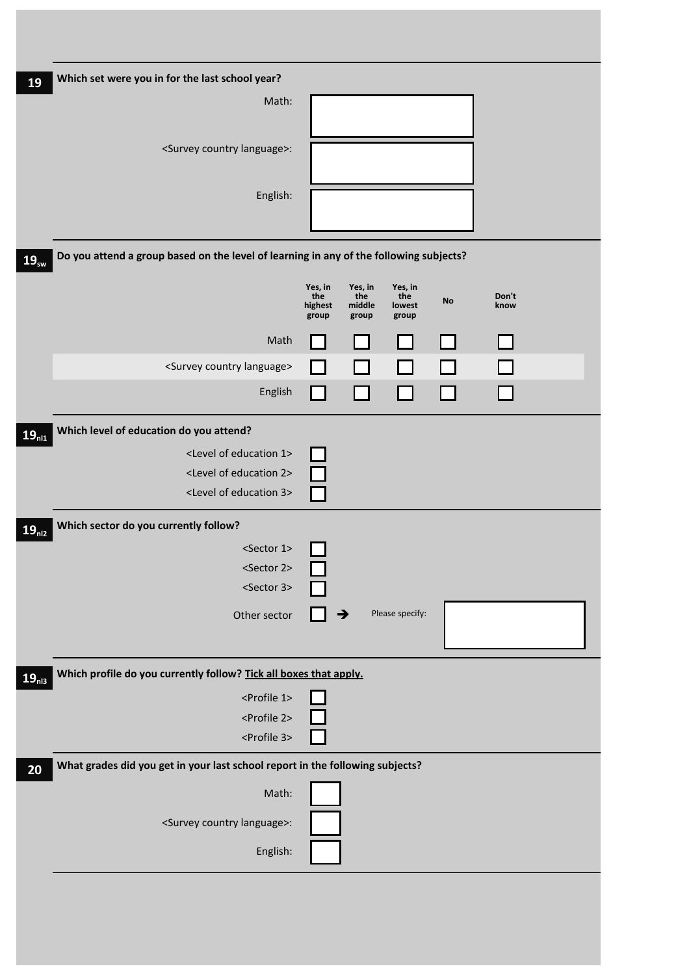| 19                | Which set were you in for the last school year?                                        |                                                                                                                                            |
|-------------------|----------------------------------------------------------------------------------------|--------------------------------------------------------------------------------------------------------------------------------------------|
|                   | Math:                                                                                  |                                                                                                                                            |
|                   | <survey country="" language="">:</survey>                                              |                                                                                                                                            |
|                   | English:                                                                               |                                                                                                                                            |
| $19_{sw}$         | Do you attend a group based on the level of learning in any of the following subjects? |                                                                                                                                            |
|                   |                                                                                        | Yes, in<br>Yes, in<br>Yes, in<br>the<br>the<br>Don't<br>the<br><b>No</b><br>middle<br>highest<br>know<br>lowest<br>group<br>group<br>group |
|                   | Math                                                                                   |                                                                                                                                            |
|                   | <survey country="" language=""></survey>                                               |                                                                                                                                            |
|                   | English                                                                                |                                                                                                                                            |
| $19_{n11}$        | Which level of education do you attend?                                                |                                                                                                                                            |
|                   | <level 1="" education="" of=""></level>                                                |                                                                                                                                            |
|                   | <level 2="" education="" of=""></level>                                                |                                                                                                                                            |
|                   | <level 3="" education="" of=""></level>                                                |                                                                                                                                            |
| 19 <sub>n12</sub> | Which sector do you currently follow?                                                  |                                                                                                                                            |
|                   | <sector 1=""></sector>                                                                 |                                                                                                                                            |
|                   | <sector 2=""><br/><sector 3=""></sector></sector>                                      |                                                                                                                                            |
|                   |                                                                                        |                                                                                                                                            |
|                   | Other sector                                                                           | Please specify:<br>→                                                                                                                       |
| 19 <sub>n13</sub> | Which profile do you currently follow? Tick all boxes that apply.                      |                                                                                                                                            |
|                   | <profile 1=""></profile>                                                               |                                                                                                                                            |
|                   | <profile 2=""></profile>                                                               |                                                                                                                                            |
|                   | <profile 3=""></profile>                                                               |                                                                                                                                            |
| 20                | What grades did you get in your last school report in the following subjects?          |                                                                                                                                            |
|                   | Math:                                                                                  |                                                                                                                                            |
|                   | <survey country="" language="">:</survey>                                              |                                                                                                                                            |
|                   | English:                                                                               |                                                                                                                                            |
|                   |                                                                                        |                                                                                                                                            |
|                   |                                                                                        |                                                                                                                                            |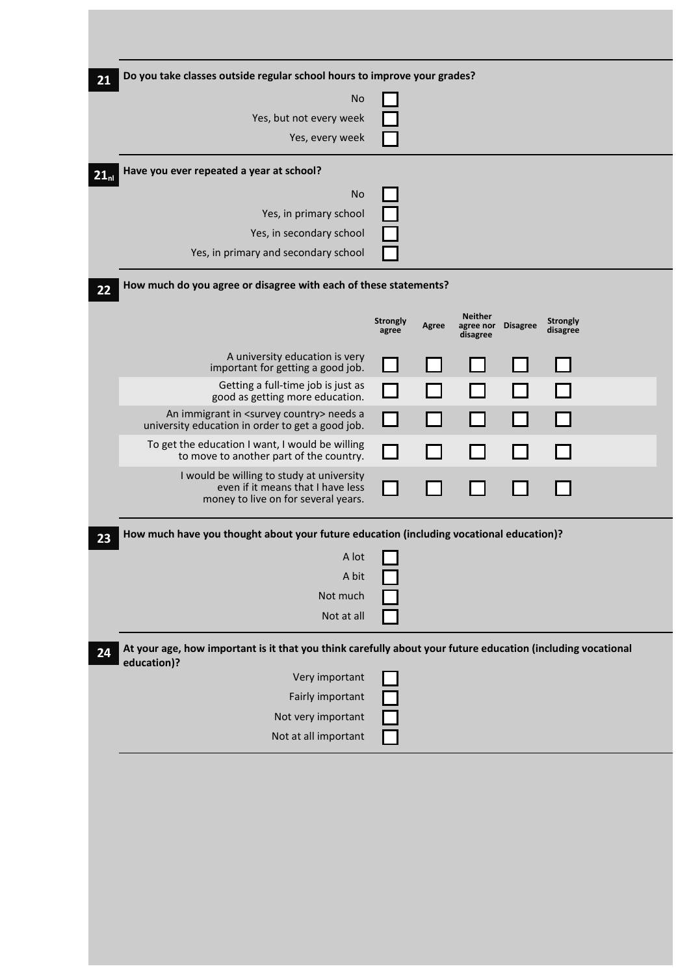| Do you take classes outside regular school hours to improve your grades? |                                                                                                                                                                                                                  |              |                                                                  |           |                             |                                                                                         |                                                                                                             |
|--------------------------------------------------------------------------|------------------------------------------------------------------------------------------------------------------------------------------------------------------------------------------------------------------|--------------|------------------------------------------------------------------|-----------|-----------------------------|-----------------------------------------------------------------------------------------|-------------------------------------------------------------------------------------------------------------|
| <b>No</b>                                                                |                                                                                                                                                                                                                  |              |                                                                  |           |                             |                                                                                         |                                                                                                             |
| Yes, but not every week                                                  |                                                                                                                                                                                                                  |              |                                                                  |           |                             |                                                                                         |                                                                                                             |
| Yes, every week                                                          |                                                                                                                                                                                                                  |              |                                                                  |           |                             |                                                                                         |                                                                                                             |
| Have you ever repeated a year at school?                                 |                                                                                                                                                                                                                  |              |                                                                  |           |                             |                                                                                         |                                                                                                             |
| <b>No</b>                                                                |                                                                                                                                                                                                                  |              |                                                                  |           |                             |                                                                                         |                                                                                                             |
| Yes, in primary school                                                   |                                                                                                                                                                                                                  |              |                                                                  |           |                             |                                                                                         |                                                                                                             |
| Yes, in secondary school                                                 |                                                                                                                                                                                                                  |              |                                                                  |           |                             |                                                                                         |                                                                                                             |
| Yes, in primary and secondary school                                     |                                                                                                                                                                                                                  |              |                                                                  |           |                             |                                                                                         |                                                                                                             |
|                                                                          |                                                                                                                                                                                                                  |              |                                                                  |           |                             |                                                                                         |                                                                                                             |
|                                                                          | <b>Strongly</b><br>agree                                                                                                                                                                                         | <b>Agree</b> | <b>Neither</b><br>disagree                                       |           | <b>Strongly</b><br>disagree |                                                                                         |                                                                                                             |
| A university education is very                                           |                                                                                                                                                                                                                  |              |                                                                  |           |                             |                                                                                         |                                                                                                             |
| Getting a full-time job is just as                                       |                                                                                                                                                                                                                  |              |                                                                  |           |                             |                                                                                         |                                                                                                             |
| An immigrant in <survey country=""> needs a</survey>                     |                                                                                                                                                                                                                  |              |                                                                  |           |                             |                                                                                         |                                                                                                             |
| To get the education I want, I would be willing                          |                                                                                                                                                                                                                  |              |                                                                  |           |                             |                                                                                         |                                                                                                             |
|                                                                          |                                                                                                                                                                                                                  |              |                                                                  |           |                             |                                                                                         |                                                                                                             |
| even if it means that I have less<br>money to live on for several years. |                                                                                                                                                                                                                  |              |                                                                  |           |                             |                                                                                         |                                                                                                             |
|                                                                          |                                                                                                                                                                                                                  |              |                                                                  |           |                             |                                                                                         |                                                                                                             |
| A lot                                                                    |                                                                                                                                                                                                                  |              |                                                                  |           |                             |                                                                                         |                                                                                                             |
| A bit                                                                    |                                                                                                                                                                                                                  |              |                                                                  |           |                             |                                                                                         |                                                                                                             |
| Not much                                                                 |                                                                                                                                                                                                                  |              |                                                                  |           |                             |                                                                                         |                                                                                                             |
| Not at all                                                               |                                                                                                                                                                                                                  |              |                                                                  |           |                             |                                                                                         |                                                                                                             |
| education)?                                                              |                                                                                                                                                                                                                  |              |                                                                  |           |                             |                                                                                         |                                                                                                             |
| Very important                                                           |                                                                                                                                                                                                                  |              |                                                                  |           |                             |                                                                                         |                                                                                                             |
| Fairly important                                                         |                                                                                                                                                                                                                  |              |                                                                  |           |                             |                                                                                         |                                                                                                             |
| Not very important                                                       |                                                                                                                                                                                                                  |              |                                                                  |           |                             |                                                                                         |                                                                                                             |
| Not at all important                                                     |                                                                                                                                                                                                                  |              |                                                                  |           |                             |                                                                                         |                                                                                                             |
|                                                                          | important for getting a good job.<br>good as getting more education.<br>university education in order to get a good job.<br>to move to another part of the country.<br>I would be willing to study at university |              | How much do you agree or disagree with each of these statements? | agree nor | <b>Disagree</b>             | How much have you thought about your future education (including vocational education)? | At your age, how important is it that you think carefully about your future education (including vocational |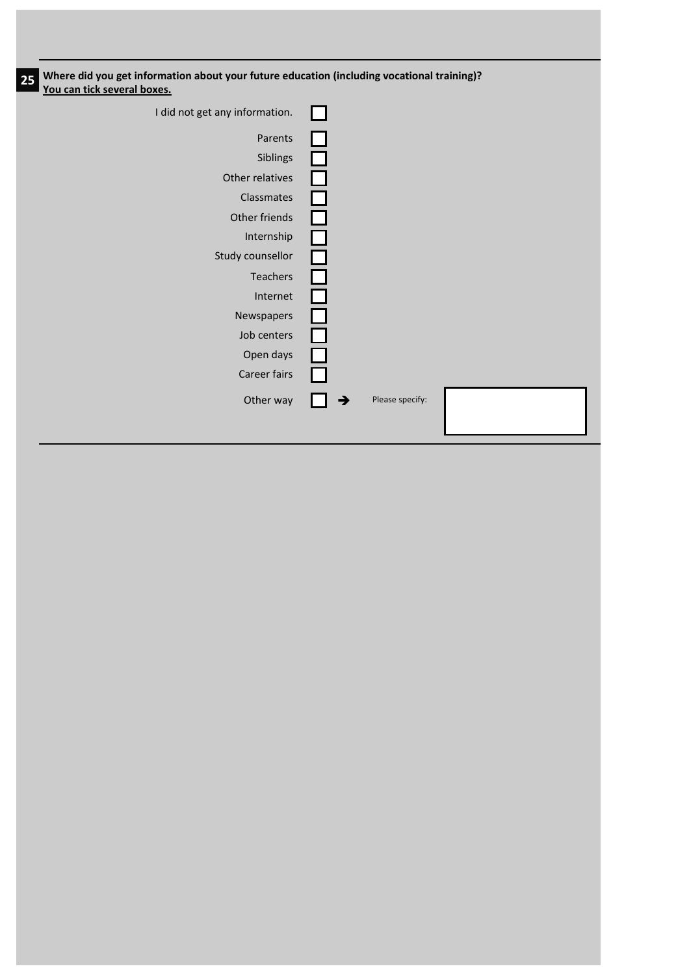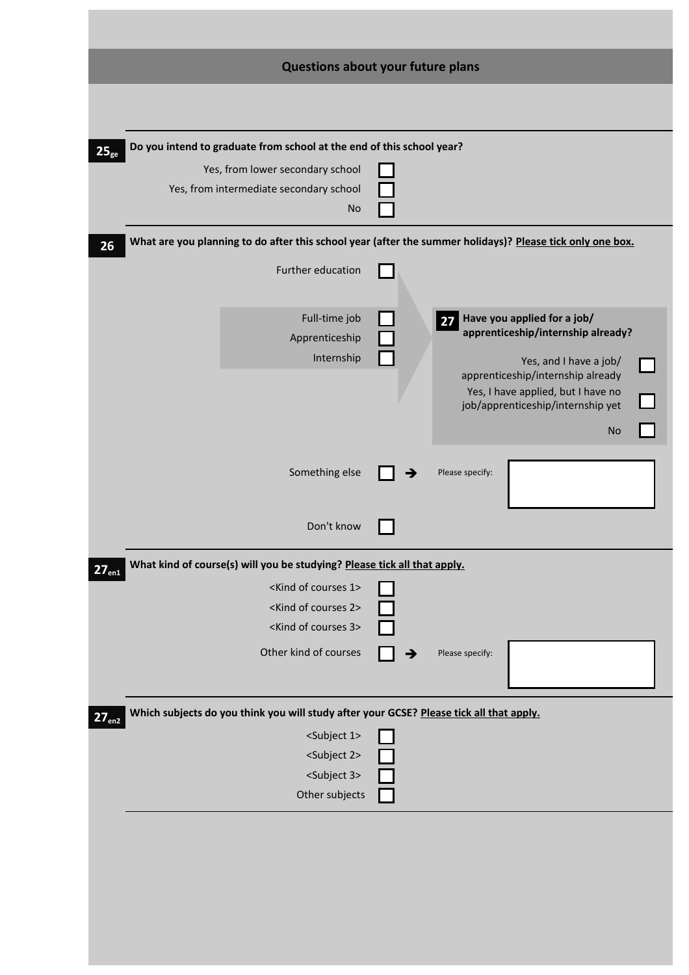|                   | Questions about your future plans                                                                         |                 |                                                                         |
|-------------------|-----------------------------------------------------------------------------------------------------------|-----------------|-------------------------------------------------------------------------|
|                   |                                                                                                           |                 |                                                                         |
|                   |                                                                                                           |                 |                                                                         |
| $25_{ge}$         | Do you intend to graduate from school at the end of this school year?                                     |                 |                                                                         |
|                   | Yes, from lower secondary school<br>Yes, from intermediate secondary school                               |                 |                                                                         |
|                   | <b>No</b>                                                                                                 |                 |                                                                         |
| 26                | What are you planning to do after this school year (after the summer holidays)? Please tick only one box. |                 |                                                                         |
|                   | Further education                                                                                         |                 |                                                                         |
|                   | Full-time job                                                                                             |                 | 27 Have you applied for a job/                                          |
|                   | Apprenticeship                                                                                            |                 | apprenticeship/internship already?                                      |
|                   | Internship                                                                                                |                 | Yes, and I have a job/                                                  |
|                   |                                                                                                           |                 | apprenticeship/internship already<br>Yes, I have applied, but I have no |
|                   |                                                                                                           |                 | job/apprenticeship/internship yet                                       |
|                   |                                                                                                           |                 | <b>No</b>                                                               |
|                   |                                                                                                           |                 |                                                                         |
|                   | Something else                                                                                            | Please specify: |                                                                         |
|                   |                                                                                                           |                 |                                                                         |
|                   | Don't know                                                                                                |                 |                                                                         |
| 27 <sub>en1</sub> | What kind of course(s) will you be studying? Please tick all that apply.                                  |                 |                                                                         |
|                   | <kind 1="" courses="" of=""></kind>                                                                       |                 |                                                                         |
|                   | <kind 2="" courses="" of=""></kind>                                                                       |                 |                                                                         |
|                   | <kind 3="" courses="" of=""></kind>                                                                       |                 |                                                                         |
|                   | Other kind of courses                                                                                     | Please specify: |                                                                         |
|                   |                                                                                                           |                 |                                                                         |
| 27 <sub>en2</sub> | Which subjects do you think you will study after your GCSE? Please tick all that apply.                   |                 |                                                                         |
|                   | <subject 1=""></subject>                                                                                  |                 |                                                                         |
|                   | <subject 2=""></subject>                                                                                  |                 |                                                                         |
|                   | <subject 3=""></subject>                                                                                  |                 |                                                                         |
|                   | Other subjects                                                                                            |                 |                                                                         |
|                   |                                                                                                           |                 |                                                                         |
|                   |                                                                                                           |                 |                                                                         |
|                   |                                                                                                           |                 |                                                                         |
|                   |                                                                                                           |                 |                                                                         |
|                   |                                                                                                           |                 |                                                                         |
|                   |                                                                                                           |                 |                                                                         |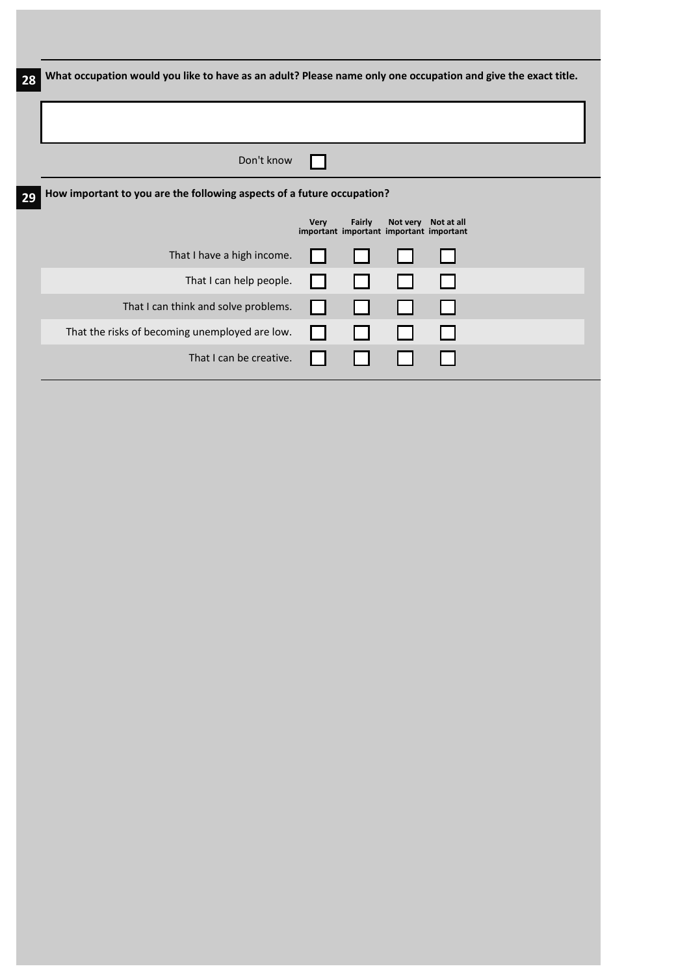| 28 | What occupation would you like to have as an adult? Please name only one occupation and give the exact title. |             |        |                                         |                     |  |
|----|---------------------------------------------------------------------------------------------------------------|-------------|--------|-----------------------------------------|---------------------|--|
|    |                                                                                                               |             |        |                                         |                     |  |
|    |                                                                                                               |             |        |                                         |                     |  |
|    | Don't know                                                                                                    |             |        |                                         |                     |  |
| 29 | How important to you are the following aspects of a future occupation?                                        |             |        |                                         |                     |  |
|    |                                                                                                               | <b>Very</b> | Fairly | important important important important | Not very Not at all |  |
|    | That I have a high income.                                                                                    |             |        |                                         |                     |  |
|    | That I can help people.                                                                                       |             |        |                                         |                     |  |
|    | That I can think and solve problems.                                                                          |             |        |                                         |                     |  |
|    | That the risks of becoming unemployed are low.                                                                |             |        |                                         |                     |  |
|    | That I can be creative.                                                                                       |             |        |                                         |                     |  |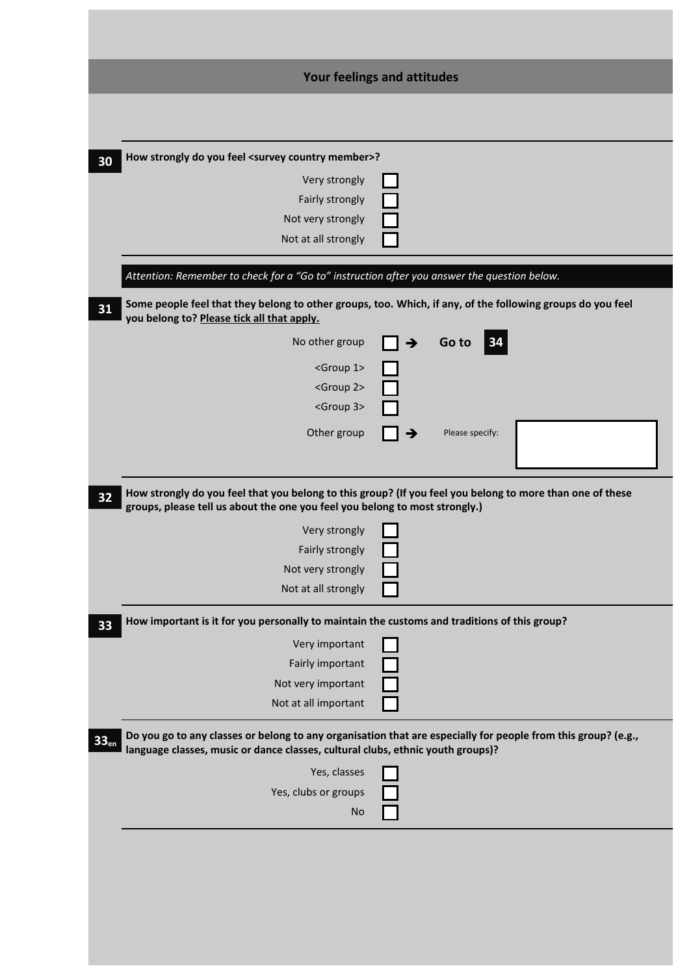|                                                                                              | Your feelings and attitudes                                                                                   |
|----------------------------------------------------------------------------------------------|---------------------------------------------------------------------------------------------------------------|
|                                                                                              |                                                                                                               |
|                                                                                              |                                                                                                               |
| How strongly do you feel <survey country="" member="">?</survey>                             |                                                                                                               |
| Very strongly                                                                                |                                                                                                               |
| Fairly strongly                                                                              |                                                                                                               |
| Not very strongly                                                                            |                                                                                                               |
| Not at all strongly                                                                          |                                                                                                               |
| Attention: Remember to check for a "Go to" instruction after you answer the question below.  |                                                                                                               |
| you belong to? Please tick all that apply.                                                   | Some people feel that they belong to other groups, too. Which, if any, of the following groups do you feel    |
| No other group                                                                               | Go to<br>34<br>$\rightarrow$                                                                                  |
| <group 1=""></group>                                                                         |                                                                                                               |
| <group 2=""></group>                                                                         |                                                                                                               |
| <group 3=""></group>                                                                         |                                                                                                               |
| Other group                                                                                  | Please specify:                                                                                               |
|                                                                                              |                                                                                                               |
| Very strongly<br>Fairly strongly<br>Not very strongly                                        |                                                                                                               |
| Not at all strongly                                                                          |                                                                                                               |
| How important is it for you personally to maintain the customs and traditions of this group? |                                                                                                               |
| Very important                                                                               |                                                                                                               |
| Fairly important                                                                             |                                                                                                               |
|                                                                                              |                                                                                                               |
| Not very important                                                                           |                                                                                                               |
| Not at all important                                                                         |                                                                                                               |
| language classes, music or dance classes, cultural clubs, ethnic youth groups)?              | Do you go to any classes or belong to any organisation that are especially for people from this group? (e.g., |
| Yes, classes                                                                                 |                                                                                                               |
| Yes, clubs or groups                                                                         |                                                                                                               |
|                                                                                              |                                                                                                               |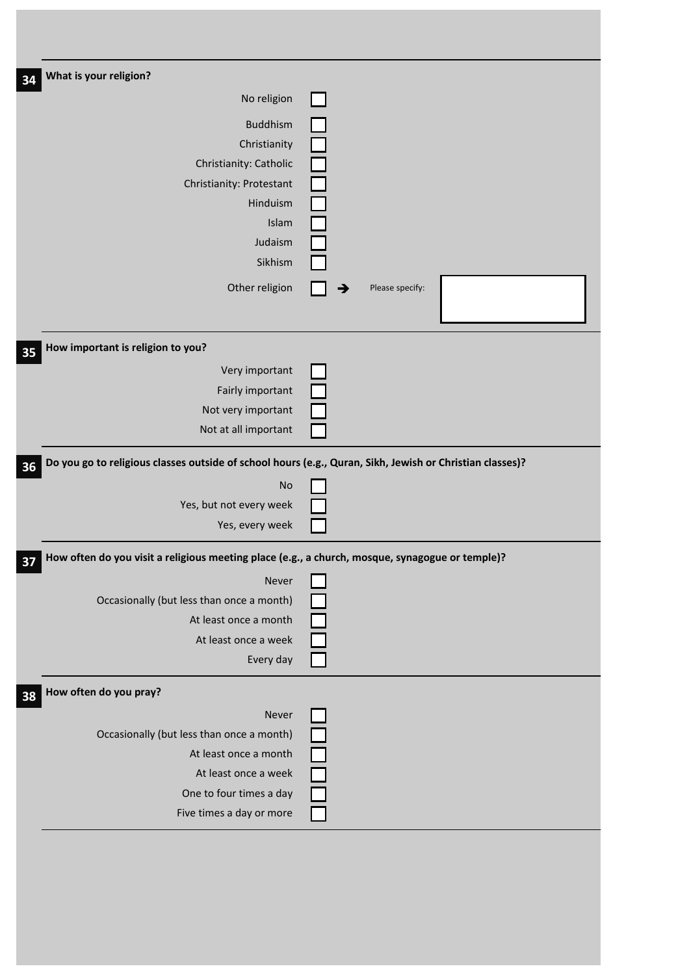| What is your religion?<br>No religion<br>Buddhism<br>Christianity<br>Christianity: Catholic<br>Christianity: Protestant<br>Hinduism<br>Islam |                 |
|----------------------------------------------------------------------------------------------------------------------------------------------|-----------------|
|                                                                                                                                              |                 |
|                                                                                                                                              |                 |
|                                                                                                                                              |                 |
|                                                                                                                                              |                 |
|                                                                                                                                              |                 |
|                                                                                                                                              |                 |
|                                                                                                                                              |                 |
|                                                                                                                                              |                 |
| Judaism                                                                                                                                      |                 |
| Sikhism                                                                                                                                      |                 |
| Other religion                                                                                                                               | Please specify: |
| How important is religion to you?                                                                                                            |                 |
| Very important                                                                                                                               |                 |
| Fairly important                                                                                                                             |                 |
| Not very important                                                                                                                           |                 |
| Not at all important                                                                                                                         |                 |
| Do you go to religious classes outside of school hours (e.g., Quran, Sikh, Jewish or Christian classes)?                                     |                 |
| No                                                                                                                                           |                 |
| Yes, but not every week                                                                                                                      |                 |
| Yes, every week                                                                                                                              |                 |
| How often do you visit a religious meeting place (e.g., a church, mosque, synagogue or temple)?                                              |                 |
| Never                                                                                                                                        |                 |
| Occasionally (but less than once a month)                                                                                                    |                 |
| At least once a month                                                                                                                        |                 |
| At least once a week                                                                                                                         |                 |
| Every day                                                                                                                                    |                 |
| How often do you pray?                                                                                                                       |                 |
| Never                                                                                                                                        |                 |
| Occasionally (but less than once a month)                                                                                                    |                 |
| At least once a month                                                                                                                        |                 |
| At least once a week                                                                                                                         |                 |
| One to four times a day                                                                                                                      |                 |
| Five times a day or more                                                                                                                     |                 |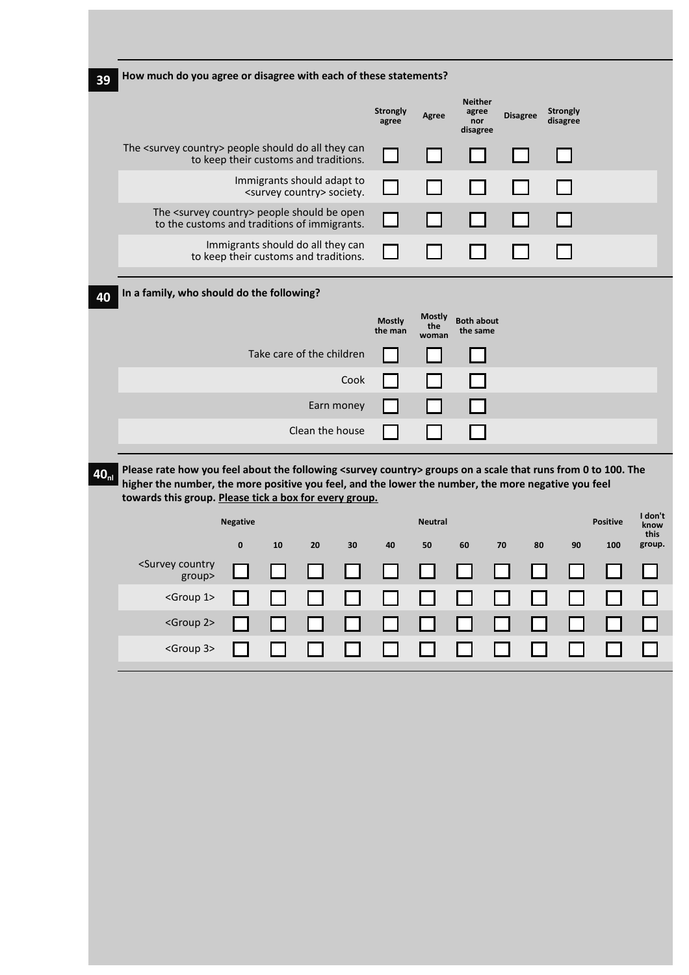| 39               | How much do you agree or disagree with each of these statements?                                                                                                                                                                 |                 |                                                                            |                 |            |                          |                      |                                            |                 |                             |                 |                         |
|------------------|----------------------------------------------------------------------------------------------------------------------------------------------------------------------------------------------------------------------------------|-----------------|----------------------------------------------------------------------------|-----------------|------------|--------------------------|----------------------|--------------------------------------------|-----------------|-----------------------------|-----------------|-------------------------|
|                  |                                                                                                                                                                                                                                  |                 |                                                                            |                 |            | <b>Strongly</b><br>agree | Agree                | <b>Neither</b><br>agree<br>nor<br>disagree | <b>Disagree</b> | <b>Strongly</b><br>disagree |                 |                         |
|                  | The <survey country=""> people should do all they can</survey>                                                                                                                                                                   |                 | to keep their customs and traditions.                                      |                 |            |                          |                      |                                            |                 |                             |                 |                         |
|                  |                                                                                                                                                                                                                                  |                 | Immigrants should adapt to<br><survey country=""> society.</survey>        |                 |            |                          |                      |                                            |                 |                             |                 |                         |
|                  | The <survey country=""> people should be open<br/>to the customs and traditions of immigrants.</survey>                                                                                                                          |                 |                                                                            |                 |            |                          |                      |                                            |                 |                             |                 |                         |
|                  |                                                                                                                                                                                                                                  |                 | Immigrants should do all they can<br>to keep their customs and traditions. |                 |            |                          |                      |                                            |                 |                             |                 |                         |
| 40               | In a family, who should do the following?                                                                                                                                                                                        |                 |                                                                            |                 |            |                          |                      |                                            |                 |                             |                 |                         |
|                  |                                                                                                                                                                                                                                  |                 |                                                                            |                 |            | <b>Mostly</b><br>the man | <b>Mostly</b><br>the | <b>Both about</b><br>the same              |                 |                             |                 |                         |
|                  |                                                                                                                                                                                                                                  |                 | Take care of the children                                                  |                 |            |                          | woman                |                                            |                 |                             |                 |                         |
|                  |                                                                                                                                                                                                                                  |                 |                                                                            |                 | Cook       |                          |                      |                                            |                 |                             |                 |                         |
|                  |                                                                                                                                                                                                                                  |                 |                                                                            |                 | Earn money |                          |                      |                                            |                 |                             |                 |                         |
|                  |                                                                                                                                                                                                                                  |                 |                                                                            | Clean the house |            |                          |                      |                                            |                 |                             |                 |                         |
| 40 <sub>nl</sub> | Please rate how you feel about the following <survey country=""> groups on a scale that runs from 0 to 100. The<br/>higher the number, the more positive you feel, and the lower the number, the more negative you feel</survey> |                 |                                                                            |                 |            |                          |                      |                                            |                 |                             |                 |                         |
|                  | towards this group. Please tick a box for every group.                                                                                                                                                                           |                 |                                                                            |                 |            |                          |                      |                                            |                 |                             |                 |                         |
|                  |                                                                                                                                                                                                                                  |                 |                                                                            |                 |            |                          |                      |                                            |                 |                             |                 |                         |
|                  |                                                                                                                                                                                                                                  | <b>Negative</b> |                                                                            |                 |            |                          | <b>Neutral</b>       |                                            |                 |                             | <b>Positive</b> | I don't<br>know<br>this |
|                  | <survey country<="" th=""><th><math>\bf{0}</math></th><th>10</th><th>20</th><th>30</th><th>40</th><th>50</th><th>60</th><th>70<br/>80</th><th>90</th><th>100</th><th>group.</th></survey>                                        | $\bf{0}$        | 10                                                                         | 20              | 30         | 40                       | 50                   | 60                                         | 70<br>80        | 90                          | 100             | group.                  |
|                  | group><br><group 1=""></group>                                                                                                                                                                                                   |                 |                                                                            |                 |            |                          |                      |                                            |                 |                             |                 |                         |
|                  | <group 2=""></group>                                                                                                                                                                                                             |                 |                                                                            |                 |            | $\blacksquare$           |                      | $\Box$                                     |                 | $\blacksquare$              |                 |                         |
|                  | <group 3=""></group>                                                                                                                                                                                                             |                 |                                                                            |                 |            |                          |                      | $\sim$                                     |                 |                             |                 |                         |
|                  |                                                                                                                                                                                                                                  |                 |                                                                            |                 |            |                          |                      |                                            |                 |                             |                 |                         |
|                  |                                                                                                                                                                                                                                  |                 |                                                                            |                 |            |                          |                      |                                            |                 |                             |                 |                         |
|                  |                                                                                                                                                                                                                                  |                 |                                                                            |                 |            |                          |                      |                                            |                 |                             |                 |                         |
|                  |                                                                                                                                                                                                                                  |                 |                                                                            |                 |            |                          |                      |                                            |                 |                             |                 |                         |
|                  |                                                                                                                                                                                                                                  |                 |                                                                            |                 |            |                          |                      |                                            |                 |                             |                 |                         |
|                  |                                                                                                                                                                                                                                  |                 |                                                                            |                 |            |                          |                      |                                            |                 |                             |                 |                         |
|                  |                                                                                                                                                                                                                                  |                 |                                                                            |                 |            |                          |                      |                                            |                 |                             |                 |                         |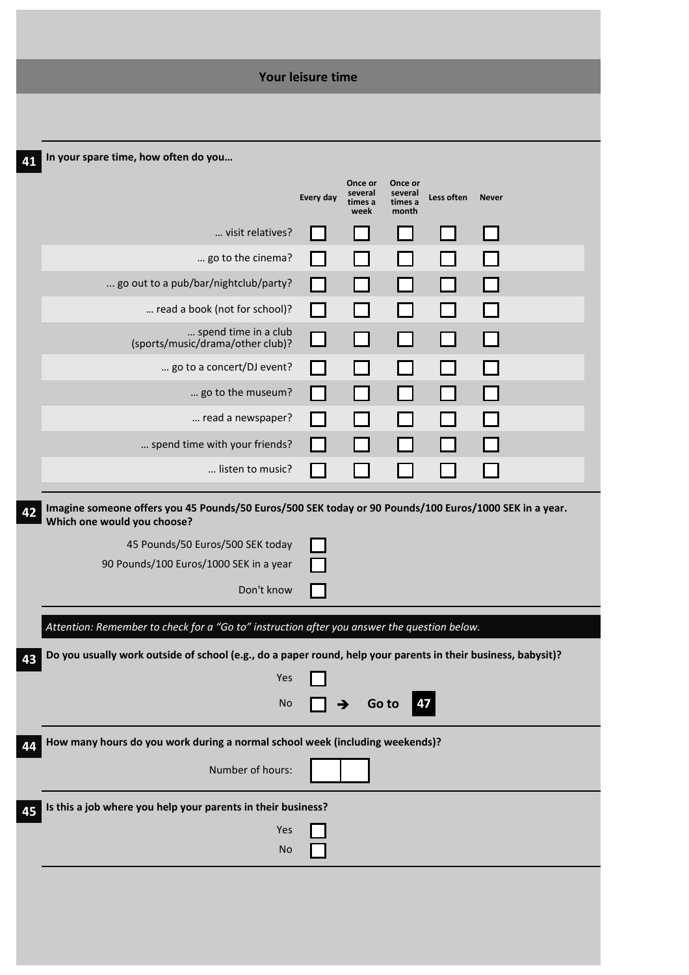|                                                                                                                                       | Your leisure time |                                       |                                        |              |              |  |
|---------------------------------------------------------------------------------------------------------------------------------------|-------------------|---------------------------------------|----------------------------------------|--------------|--------------|--|
|                                                                                                                                       |                   |                                       |                                        |              |              |  |
| In your spare time, how often do you                                                                                                  |                   |                                       |                                        |              |              |  |
|                                                                                                                                       | Every day         | Once or<br>several<br>times a<br>week | Once or<br>several<br>times a<br>month | Less often   | <b>Never</b> |  |
| visit relatives?                                                                                                                      |                   |                                       |                                        |              |              |  |
| go to the cinema?                                                                                                                     |                   |                                       |                                        |              |              |  |
| go out to a pub/bar/nightclub/party?                                                                                                  |                   |                                       |                                        |              |              |  |
| read a book (not for school)?                                                                                                         |                   |                                       |                                        |              |              |  |
| spend time in a club<br>(sports/music/drama/other club)?                                                                              |                   |                                       |                                        | <b>Tarat</b> |              |  |
| go to a concert/DJ event?                                                                                                             |                   |                                       |                                        |              |              |  |
| go to the museum?                                                                                                                     |                   |                                       |                                        |              |              |  |
| read a newspaper?                                                                                                                     |                   |                                       |                                        |              |              |  |
| spend time with your friends?                                                                                                         |                   |                                       |                                        |              |              |  |
| listen to music?                                                                                                                      |                   |                                       |                                        |              |              |  |
| Imagine someone offers you 45 Pounds/50 Euros/500 SEK today or 90 Pounds/100 Euros/1000 SEK in a year.<br>Which one would you choose? |                   |                                       |                                        |              |              |  |
| 45 Pounds/50 Euros/500 SEK today                                                                                                      |                   |                                       |                                        |              |              |  |
| 90 Pounds/100 Euros/1000 SEK in a year                                                                                                |                   |                                       |                                        |              |              |  |
| Don't know                                                                                                                            |                   |                                       |                                        |              |              |  |
| Attention: Remember to check for a "Go to" instruction after you answer the question below.                                           |                   |                                       |                                        |              |              |  |
| Do you usually work outside of school (e.g., do a paper round, help your parents in their business, babysit)?                         |                   |                                       |                                        |              |              |  |
| Yes                                                                                                                                   |                   |                                       |                                        |              |              |  |
| <b>No</b>                                                                                                                             |                   | Go to                                 | 47                                     |              |              |  |
| How many hours do you work during a normal school week (including weekends)?                                                          |                   |                                       |                                        |              |              |  |
| Number of hours:                                                                                                                      |                   |                                       |                                        |              |              |  |
| Is this a job where you help your parents in their business?                                                                          |                   |                                       |                                        |              |              |  |
|                                                                                                                                       |                   |                                       |                                        |              |              |  |
| Yes<br><b>No</b>                                                                                                                      |                   |                                       |                                        |              |              |  |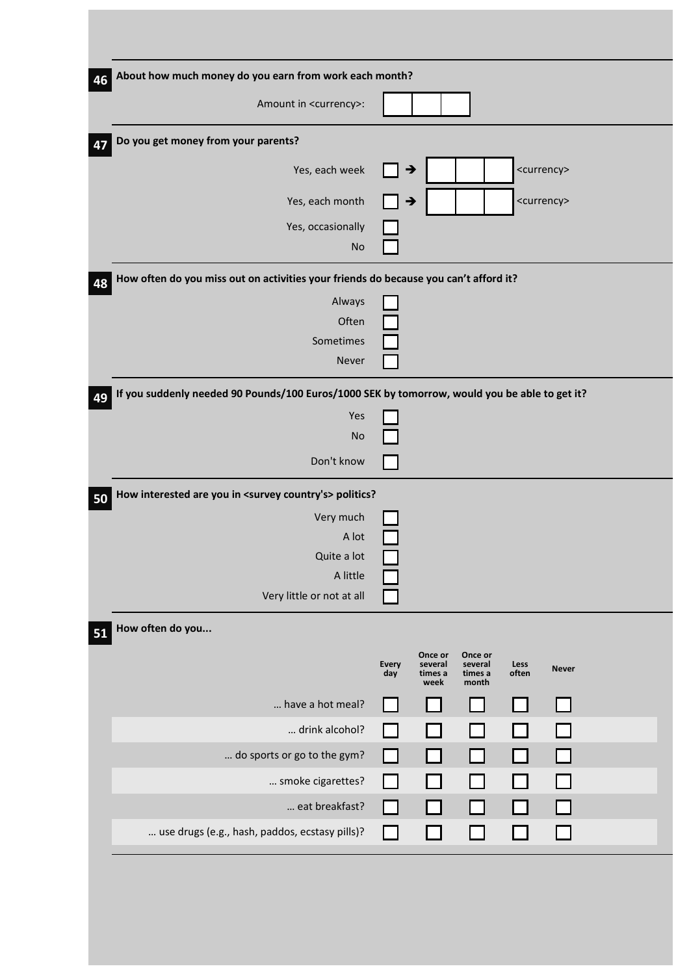| About how much money do you earn from work each month? |                                                                    |                                        |               |                                                                                      |                                                                                                                                                   |
|--------------------------------------------------------|--------------------------------------------------------------------|----------------------------------------|---------------|--------------------------------------------------------------------------------------|---------------------------------------------------------------------------------------------------------------------------------------------------|
|                                                        |                                                                    |                                        |               |                                                                                      |                                                                                                                                                   |
|                                                        |                                                                    |                                        |               |                                                                                      |                                                                                                                                                   |
|                                                        |                                                                    |                                        |               |                                                                                      |                                                                                                                                                   |
|                                                        |                                                                    |                                        |               |                                                                                      |                                                                                                                                                   |
|                                                        |                                                                    |                                        |               |                                                                                      |                                                                                                                                                   |
|                                                        |                                                                    |                                        |               |                                                                                      |                                                                                                                                                   |
|                                                        |                                                                    |                                        |               |                                                                                      |                                                                                                                                                   |
|                                                        |                                                                    |                                        |               |                                                                                      |                                                                                                                                                   |
|                                                        |                                                                    |                                        |               |                                                                                      |                                                                                                                                                   |
|                                                        |                                                                    |                                        |               |                                                                                      |                                                                                                                                                   |
|                                                        |                                                                    |                                        |               |                                                                                      |                                                                                                                                                   |
|                                                        |                                                                    |                                        |               |                                                                                      |                                                                                                                                                   |
|                                                        |                                                                    |                                        |               |                                                                                      |                                                                                                                                                   |
|                                                        |                                                                    |                                        |               |                                                                                      |                                                                                                                                                   |
|                                                        |                                                                    |                                        |               |                                                                                      |                                                                                                                                                   |
|                                                        |                                                                    |                                        |               |                                                                                      |                                                                                                                                                   |
|                                                        |                                                                    |                                        |               |                                                                                      |                                                                                                                                                   |
|                                                        |                                                                    |                                        |               |                                                                                      |                                                                                                                                                   |
|                                                        |                                                                    |                                        |               |                                                                                      |                                                                                                                                                   |
|                                                        |                                                                    |                                        |               |                                                                                      |                                                                                                                                                   |
|                                                        |                                                                    |                                        |               |                                                                                      |                                                                                                                                                   |
| <b>Every</b><br>day                                    | Once or<br>several<br>times a<br>week                              | Once or<br>several<br>times a<br>month | Less<br>often | <b>Never</b>                                                                         |                                                                                                                                                   |
|                                                        |                                                                    |                                        |               |                                                                                      |                                                                                                                                                   |
| $\mathsf{L}$                                           |                                                                    |                                        |               |                                                                                      |                                                                                                                                                   |
| l I                                                    |                                                                    |                                        |               |                                                                                      |                                                                                                                                                   |
| $\mathsf{L}$                                           |                                                                    |                                        |               |                                                                                      |                                                                                                                                                   |
| ΙI                                                     |                                                                    |                                        |               |                                                                                      |                                                                                                                                                   |
| $\mathsf{L}$                                           |                                                                    |                                        |               |                                                                                      |                                                                                                                                                   |
|                                                        | How interested are you in <survey country's=""> politics?</survey> | →<br>→                                 |               | How often do you miss out on activities your friends do because you can't afford it? | <currency><br/><currency><br/>If you suddenly needed 90 Pounds/100 Euros/1000 SEK by tomorrow, would you be able to get it?</currency></currency> |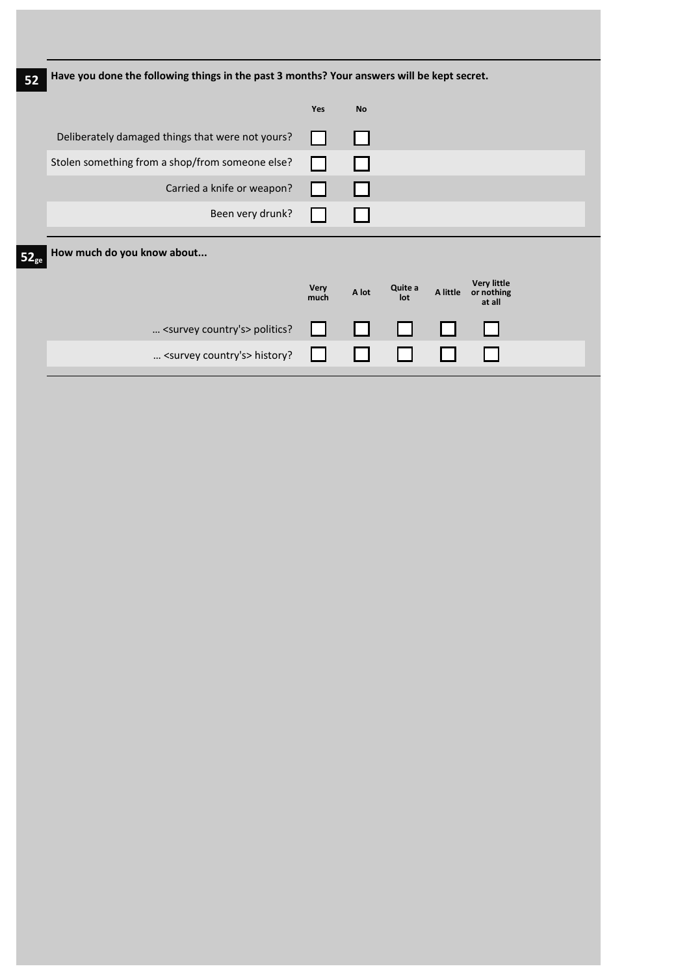|                                                  | <b>Yes</b>          | <b>No</b> |                |          |                                            |                                                                                            |
|--------------------------------------------------|---------------------|-----------|----------------|----------|--------------------------------------------|--------------------------------------------------------------------------------------------|
| Deliberately damaged things that were not yours? |                     |           |                |          |                                            |                                                                                            |
| Stolen something from a shop/from someone else?  |                     |           |                |          |                                            |                                                                                            |
| Carried a knife or weapon?                       |                     |           |                |          |                                            |                                                                                            |
| Been very drunk?                                 |                     |           |                |          |                                            |                                                                                            |
| How much do you know about                       |                     |           |                |          |                                            |                                                                                            |
|                                                  | <b>Very</b><br>much | A lot     | Quite a<br>lot | A little | <b>Very little</b><br>or nothing<br>at all |                                                                                            |
| <survey country's=""> politics?</survey>         |                     |           |                |          |                                            |                                                                                            |
| <survey country's=""> history?</survey>          |                     |           |                |          |                                            |                                                                                            |
|                                                  |                     |           |                |          |                                            | Have you done the following things in the past 3 months? Your answers will be kept secret. |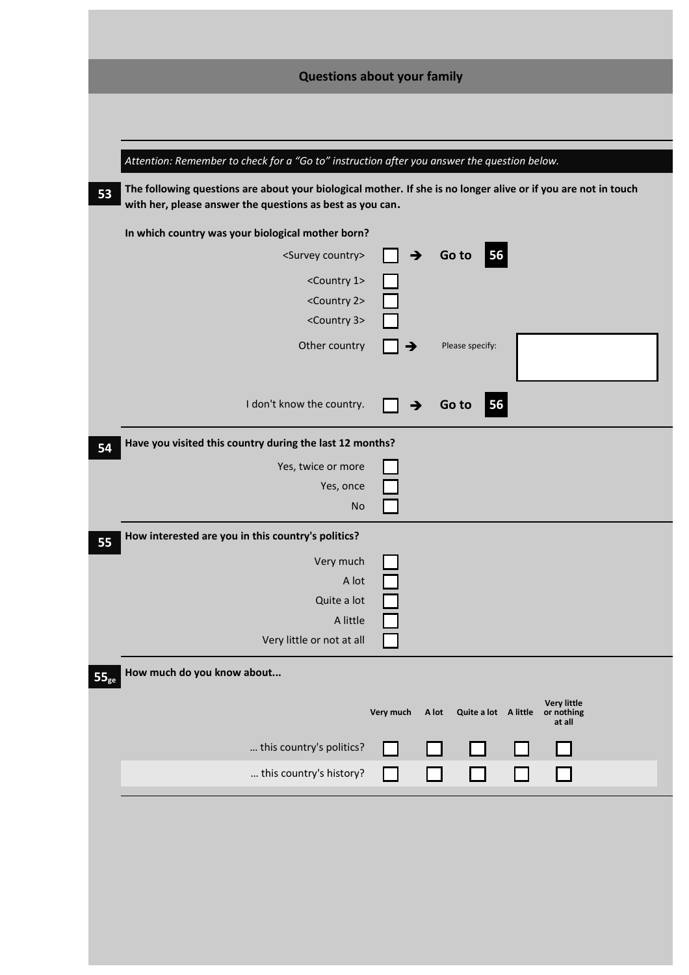|                                                                                             | <b>Questions about your family</b>                                                                             |
|---------------------------------------------------------------------------------------------|----------------------------------------------------------------------------------------------------------------|
|                                                                                             |                                                                                                                |
|                                                                                             |                                                                                                                |
| Attention: Remember to check for a "Go to" instruction after you answer the question below. |                                                                                                                |
| 53<br>with her, please answer the questions as best as you can.                             | The following questions are about your biological mother. If she is no longer alive or if you are not in touch |
| In which country was your biological mother born?                                           |                                                                                                                |
| <survey country=""></survey>                                                                | $\blacksquare$ 56<br>Go to<br>∣ →                                                                              |
| <country 1=""></country>                                                                    |                                                                                                                |
| <country 2=""></country>                                                                    |                                                                                                                |
| <country 3=""></country>                                                                    |                                                                                                                |
| Other country                                                                               | Please specify:                                                                                                |
|                                                                                             |                                                                                                                |
| I don't know the country.                                                                   | 56<br>Go to                                                                                                    |
| Have you visited this country during the last 12 months?<br>54                              |                                                                                                                |
| Yes, twice or more                                                                          |                                                                                                                |
| Yes, once                                                                                   |                                                                                                                |
| <b>No</b>                                                                                   |                                                                                                                |
| How interested are you in this country's politics?<br>55                                    |                                                                                                                |
| Very much                                                                                   |                                                                                                                |
| A lot                                                                                       |                                                                                                                |
| Quite a lot                                                                                 |                                                                                                                |
| A little<br>Very little or not at all                                                       |                                                                                                                |
|                                                                                             |                                                                                                                |
| How much do you know about<br>$55_{\text{ge}}$                                              |                                                                                                                |
|                                                                                             | <b>Very little</b><br>Very much<br>A lot<br>Quite a lot A little<br>or nothing                                 |
|                                                                                             | at all                                                                                                         |
| this country's politics?                                                                    |                                                                                                                |
| this country's history?                                                                     | - 1                                                                                                            |
|                                                                                             |                                                                                                                |
|                                                                                             |                                                                                                                |
|                                                                                             |                                                                                                                |
|                                                                                             |                                                                                                                |
|                                                                                             |                                                                                                                |
|                                                                                             |                                                                                                                |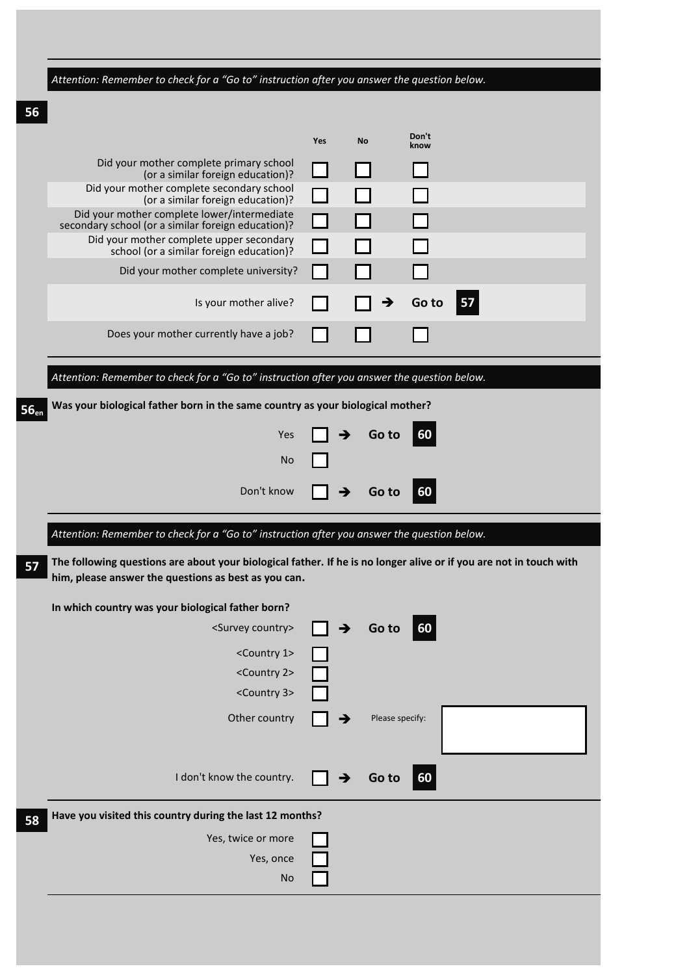| Attention: Remember to check for a "Go to" instruction after you answer the question below.                                                                                |     |               |                 |               |    |  |
|----------------------------------------------------------------------------------------------------------------------------------------------------------------------------|-----|---------------|-----------------|---------------|----|--|
|                                                                                                                                                                            |     |               |                 |               |    |  |
|                                                                                                                                                                            |     |               |                 |               |    |  |
|                                                                                                                                                                            | Yes | <b>No</b>     |                 | Don't<br>know |    |  |
| Did your mother complete primary school<br>(or a similar foreign education)?                                                                                               |     |               |                 |               |    |  |
| Did your mother complete secondary school<br>(or a similar foreign education)?                                                                                             |     |               |                 |               |    |  |
| Did your mother complete lower/intermediate<br>secondary school (or a similar foreign education)?                                                                          |     |               |                 |               |    |  |
| Did your mother complete upper secondary<br>school (or a similar foreign education)?                                                                                       |     |               |                 |               |    |  |
| Did your mother complete university?                                                                                                                                       |     |               |                 |               |    |  |
| Is your mother alive?                                                                                                                                                      |     |               | →               | Go to         | 57 |  |
|                                                                                                                                                                            |     |               |                 |               |    |  |
| Does your mother currently have a job?                                                                                                                                     |     |               |                 |               |    |  |
| Attention: Remember to check for a "Go to" instruction after you answer the question below.                                                                                |     |               |                 |               |    |  |
| Was your biological father born in the same country as your biological mother?                                                                                             |     |               |                 |               |    |  |
|                                                                                                                                                                            |     |               |                 |               |    |  |
| Yes                                                                                                                                                                        |     |               | Go to           | 60            |    |  |
| No                                                                                                                                                                         |     |               |                 |               |    |  |
| Don't know                                                                                                                                                                 |     |               | Go to           | 60            |    |  |
|                                                                                                                                                                            |     |               |                 |               |    |  |
|                                                                                                                                                                            |     |               |                 |               |    |  |
| Attention: Remember to check for a "Go to" instruction after you answer the question below.                                                                                |     |               |                 |               |    |  |
| The following questions are about your biological father. If he is no longer alive or if you are not in touch with<br>him, please answer the questions as best as you can. |     |               |                 |               |    |  |
| In which country was your biological father born?                                                                                                                          |     |               |                 |               |    |  |
| <survey country=""></survey>                                                                                                                                               |     | $\rightarrow$ | Go to           | 60            |    |  |
| <country 1=""></country>                                                                                                                                                   |     |               |                 |               |    |  |
| <country 2=""></country>                                                                                                                                                   |     |               |                 |               |    |  |
| <country 3=""></country>                                                                                                                                                   |     |               |                 |               |    |  |
| Other country                                                                                                                                                              |     | →             | Please specify: |               |    |  |
|                                                                                                                                                                            |     |               |                 |               |    |  |
| I don't know the country.                                                                                                                                                  |     |               | Go to           | 60            |    |  |
|                                                                                                                                                                            |     |               |                 |               |    |  |
| Have you visited this country during the last 12 months?                                                                                                                   |     |               |                 |               |    |  |
| Yes, twice or more<br>Yes, once                                                                                                                                            |     |               |                 |               |    |  |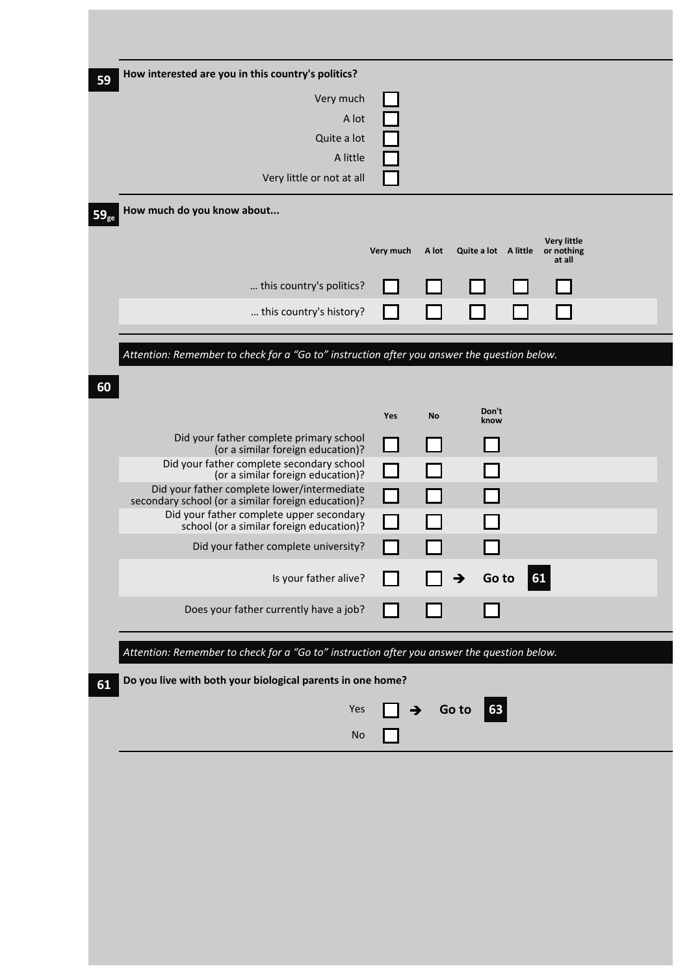| How interested are you in this country's politics?                                                |           |       |                      |                                  |  |
|---------------------------------------------------------------------------------------------------|-----------|-------|----------------------|----------------------------------|--|
| Very much                                                                                         |           |       |                      |                                  |  |
| A lot                                                                                             |           |       |                      |                                  |  |
| Quite a lot                                                                                       |           |       |                      |                                  |  |
| A little                                                                                          |           |       |                      |                                  |  |
| Very little or not at all                                                                         |           |       |                      |                                  |  |
| How much do you know about                                                                        |           |       |                      |                                  |  |
|                                                                                                   | Very much | A lot | Quite a lot A little | <b>Very little</b><br>or nothing |  |
|                                                                                                   |           |       |                      | at all                           |  |
| this country's politics?                                                                          |           |       |                      |                                  |  |
| this country's history?                                                                           |           |       |                      |                                  |  |
| Attention: Remember to check for a "Go to" instruction after you answer the question below.       |           |       |                      |                                  |  |
|                                                                                                   |           |       |                      |                                  |  |
|                                                                                                   | Yes       |       | Don't                |                                  |  |
|                                                                                                   |           | No    | know                 |                                  |  |
| Did your father complete primary school<br>(or a similar foreign education)?                      |           |       |                      |                                  |  |
| Did your father complete secondary school<br>(or a similar foreign education)?                    |           |       |                      |                                  |  |
| Did your father complete lower/intermediate<br>secondary school (or a similar foreign education)? |           |       |                      |                                  |  |
| Did your father complete upper secondary                                                          |           |       |                      |                                  |  |
| school (or a similar foreign education)?<br>Did your father complete university?                  |           |       |                      |                                  |  |
|                                                                                                   |           |       |                      |                                  |  |
| Is your father alive?                                                                             |           |       | Go to<br>→           | 61                               |  |
| Does your father currently have a job?                                                            |           |       |                      |                                  |  |
| Attention: Remember to check for a "Go to" instruction after you answer the question below.       |           |       |                      |                                  |  |
| Do you live with both your biological parents in one home?                                        |           |       |                      |                                  |  |
|                                                                                                   | →         |       | 63<br>Go to          |                                  |  |
| Yes                                                                                               |           |       |                      |                                  |  |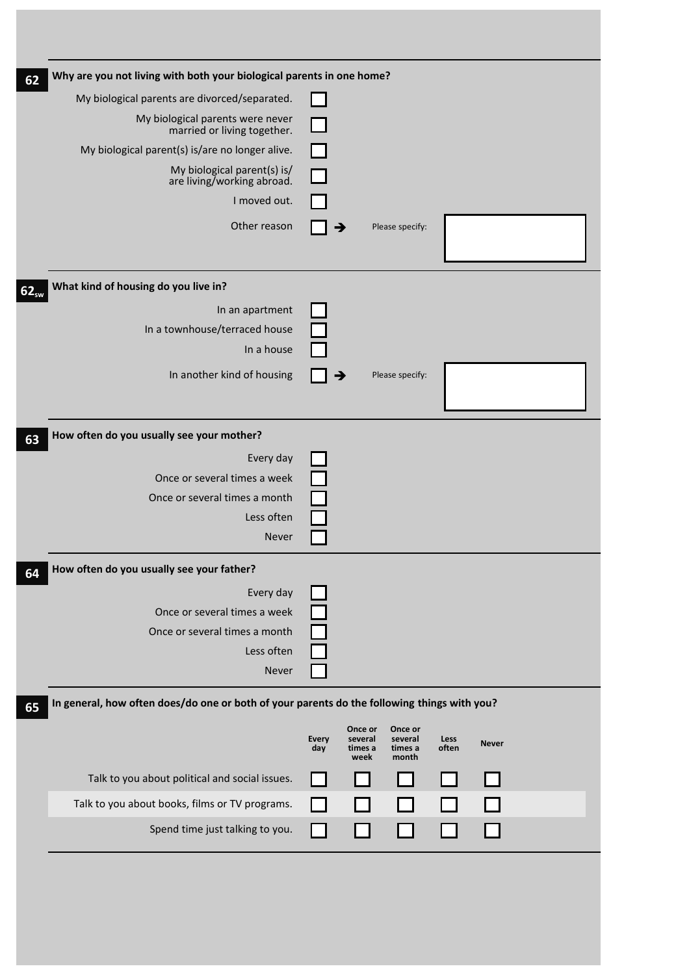| Why are you not living with both your biological parents in one home?                       |                             |                                       |                                        |               |              |  |
|---------------------------------------------------------------------------------------------|-----------------------------|---------------------------------------|----------------------------------------|---------------|--------------|--|
| My biological parents are divorced/separated.                                               |                             |                                       |                                        |               |              |  |
| My biological parents were never<br>married or living together.                             |                             |                                       |                                        |               |              |  |
| My biological parent(s) is/are no longer alive.                                             |                             |                                       |                                        |               |              |  |
| My biological parent(s) is/<br>are living/working abroad.                                   | $\mathcal{L}_{\mathcal{A}}$ |                                       |                                        |               |              |  |
| I moved out.                                                                                |                             |                                       |                                        |               |              |  |
| Other reason                                                                                |                             |                                       | Please specify:                        |               |              |  |
| What kind of housing do you live in?<br>62 <sub>sw</sub>                                    |                             |                                       |                                        |               |              |  |
| In an apartment                                                                             |                             |                                       |                                        |               |              |  |
| In a townhouse/terraced house                                                               |                             |                                       |                                        |               |              |  |
| In a house                                                                                  |                             |                                       |                                        |               |              |  |
| In another kind of housing                                                                  |                             | →                                     | Please specify:                        |               |              |  |
| How often do you usually see your mother?                                                   |                             |                                       |                                        |               |              |  |
| Every day                                                                                   |                             |                                       |                                        |               |              |  |
| Once or several times a week                                                                |                             |                                       |                                        |               |              |  |
| Once or several times a month                                                               |                             |                                       |                                        |               |              |  |
| Less often<br><b>Never</b>                                                                  |                             |                                       |                                        |               |              |  |
|                                                                                             |                             |                                       |                                        |               |              |  |
| How often do you usually see your father?                                                   |                             |                                       |                                        |               |              |  |
| Every day                                                                                   |                             |                                       |                                        |               |              |  |
| Once or several times a week                                                                |                             |                                       |                                        |               |              |  |
| Once or several times a month                                                               |                             |                                       |                                        |               |              |  |
| Less often                                                                                  |                             |                                       |                                        |               |              |  |
| Never                                                                                       |                             |                                       |                                        |               |              |  |
| In general, how often does/do one or both of your parents do the following things with you? |                             |                                       |                                        |               |              |  |
|                                                                                             | <b>Every</b><br>day         | Once or<br>several<br>times a<br>week | Once or<br>several<br>times a<br>month | Less<br>often | <b>Never</b> |  |
| Talk to you about political and social issues.                                              |                             |                                       |                                        |               |              |  |
| Talk to you about books, films or TV programs.                                              |                             |                                       |                                        |               |              |  |
|                                                                                             |                             |                                       |                                        |               |              |  |
| Spend time just talking to you.                                                             |                             |                                       |                                        |               |              |  |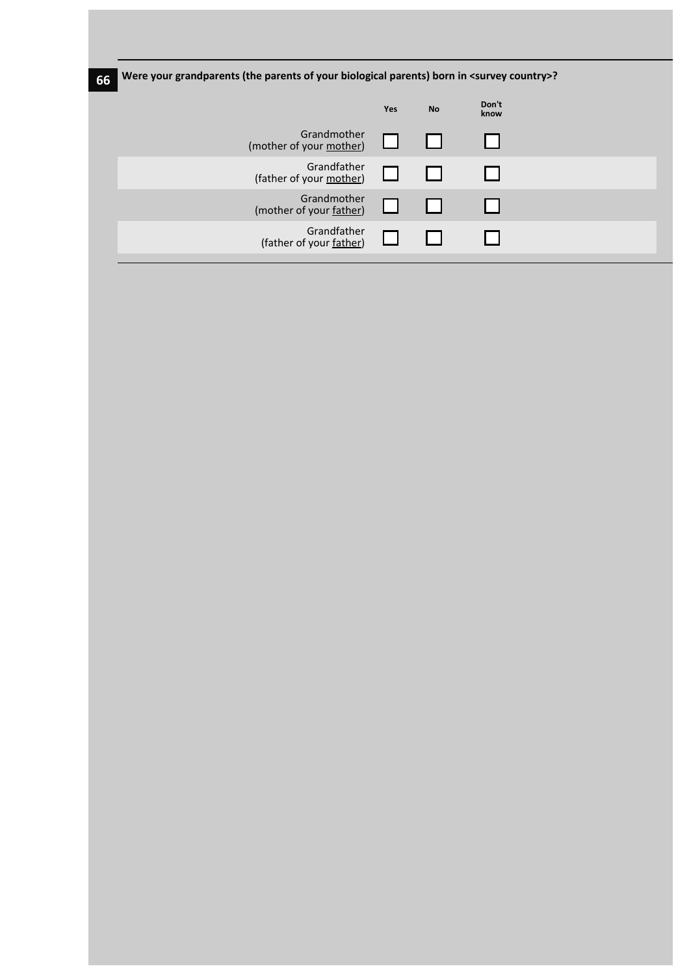| 66 | Were your grandparents (the parents of your biological parents) born in <survey country="">?</survey> |            |           |               |  |
|----|-------------------------------------------------------------------------------------------------------|------------|-----------|---------------|--|
|    |                                                                                                       | <b>Yes</b> | <b>No</b> | Don't<br>know |  |
|    | Grandmother<br>(mother of your mother)                                                                |            |           |               |  |
|    | Grandfather<br>(father of your mother)                                                                |            |           |               |  |
|    | Grandmother<br>(mother of your father)                                                                |            |           |               |  |
|    | Grandfather<br>(father of your father)                                                                |            |           |               |  |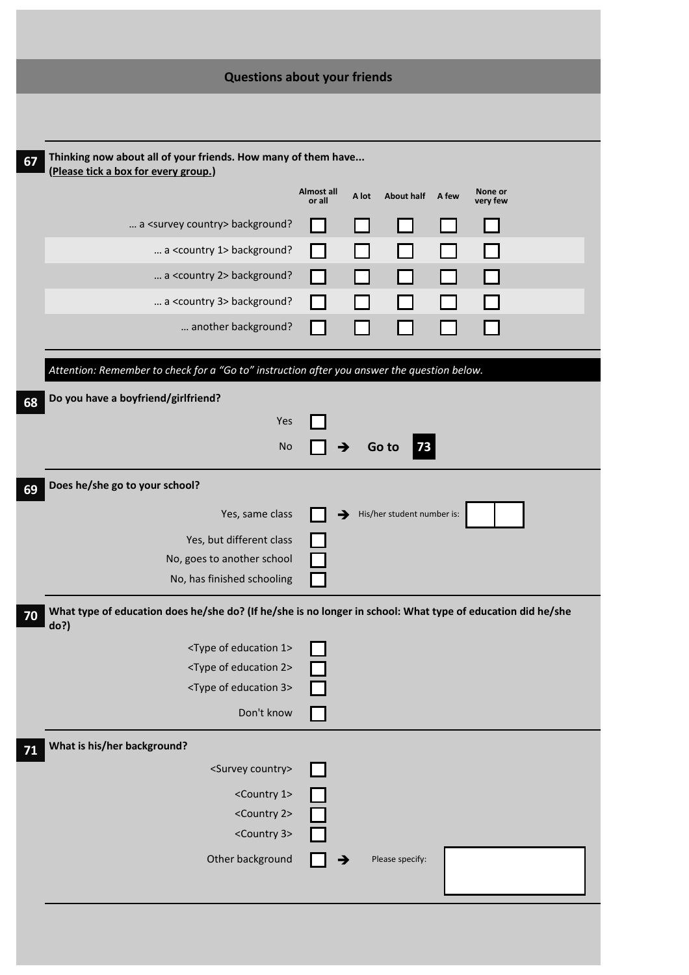| <b>Questions about your friends</b>                                                                         |
|-------------------------------------------------------------------------------------------------------------|
|                                                                                                             |
|                                                                                                             |
| Thinking now about all of your friends. How many of them have                                               |
| <b>Almost all</b><br>None or<br>A lot<br><b>About half</b><br>A few<br>or all<br>very few                   |
|                                                                                                             |
|                                                                                                             |
|                                                                                                             |
|                                                                                                             |
|                                                                                                             |
|                                                                                                             |
| Attention: Remember to check for a "Go to" instruction after you answer the question below.                 |
|                                                                                                             |
|                                                                                                             |
| 73<br>Go to                                                                                                 |
|                                                                                                             |
|                                                                                                             |
| His/her student number is:<br>→                                                                             |
|                                                                                                             |
|                                                                                                             |
|                                                                                                             |
| What type of education does he/she do? (If he/she is no longer in school: What type of education did he/she |
|                                                                                                             |
|                                                                                                             |
|                                                                                                             |
|                                                                                                             |
|                                                                                                             |
|                                                                                                             |
|                                                                                                             |
|                                                                                                             |
|                                                                                                             |
|                                                                                                             |
| Please specify:                                                                                             |
|                                                                                                             |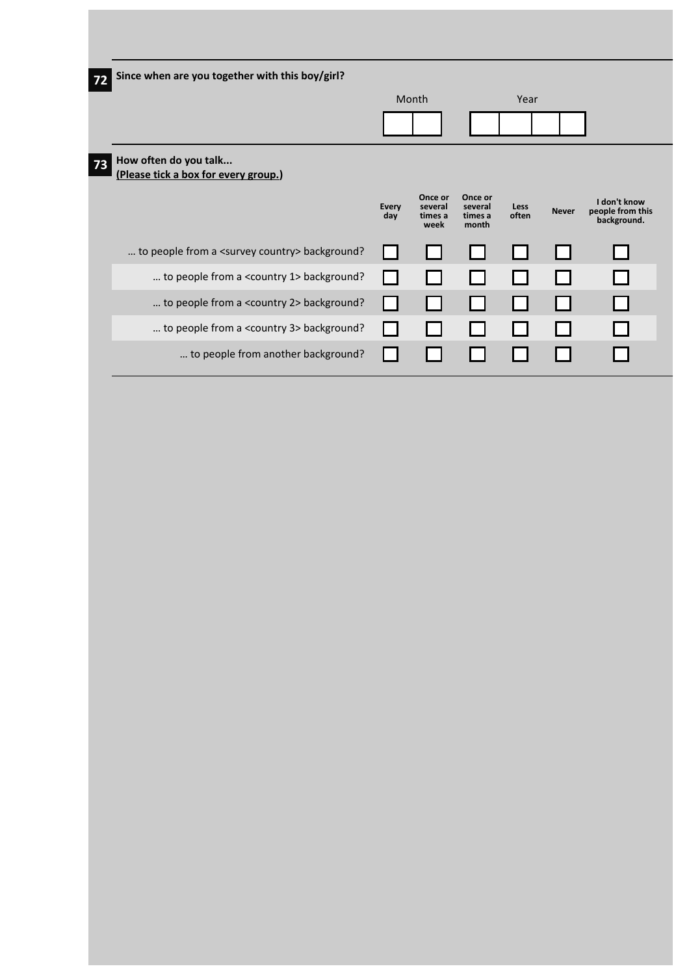| 72 | Since when are you together with this boy/girl?               |                     |                                       |                                        |               |              |                                                 |
|----|---------------------------------------------------------------|---------------------|---------------------------------------|----------------------------------------|---------------|--------------|-------------------------------------------------|
|    |                                                               |                     | Month                                 |                                        | Year          |              |                                                 |
|    |                                                               |                     |                                       |                                        |               |              |                                                 |
| 73 | How often do you talk<br>(Please tick a box for every group.) |                     |                                       |                                        |               |              |                                                 |
|    |                                                               | <b>Every</b><br>day | Once or<br>several<br>times a<br>week | Once or<br>several<br>times a<br>month | Less<br>often | <b>Never</b> | I don't know<br>people from this<br>background. |
|    | to people from a <survey country=""> background?</survey>     |                     |                                       |                                        |               |              |                                                 |
|    | to people from a <country 1=""> background?</country>         |                     |                                       |                                        |               |              |                                                 |
|    | to people from a <country 2=""> background?</country>         |                     |                                       |                                        |               |              |                                                 |
|    | to people from a <country 3=""> background?</country>         |                     |                                       |                                        |               |              |                                                 |
|    | to people from another background?                            |                     |                                       |                                        |               |              |                                                 |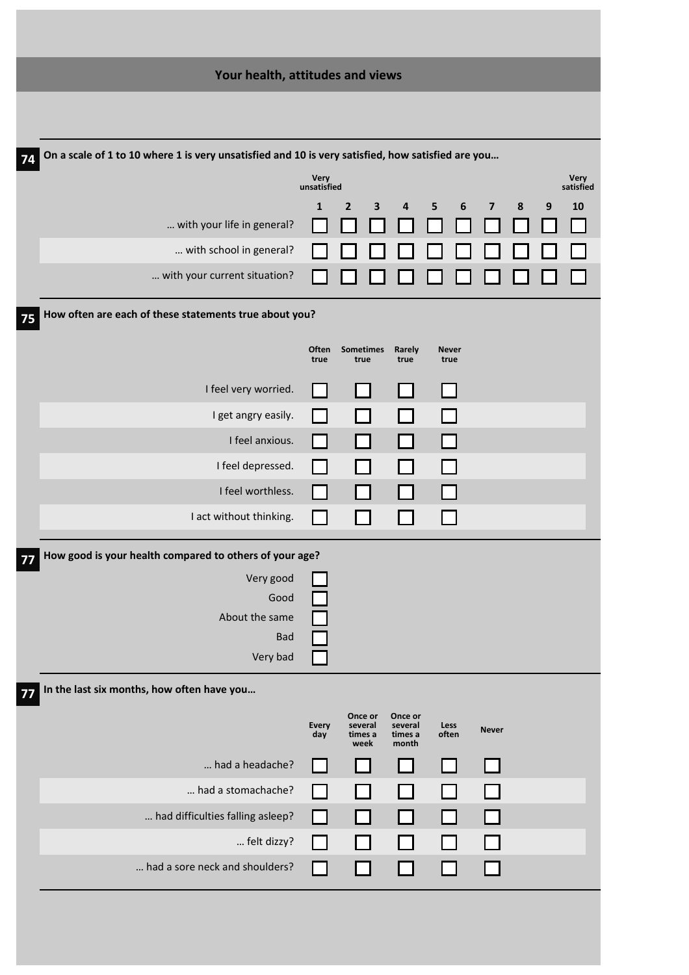| Your health, attitudes and views                                                                        |                     |                            |                             |                       |                         |   |   |                   |
|---------------------------------------------------------------------------------------------------------|---------------------|----------------------------|-----------------------------|-----------------------|-------------------------|---|---|-------------------|
|                                                                                                         |                     |                            |                             |                       |                         |   |   |                   |
| On a scale of 1 to 10 where 1 is very unsatisfied and 10 is very satisfied, how satisfied are you<br>74 |                     |                            |                             |                       |                         |   |   |                   |
|                                                                                                         | Very<br>unsatisfied |                            |                             |                       |                         |   |   | Very<br>satisfied |
|                                                                                                         | $\mathbf{1}$        | $\overline{2}$<br>3        | 4                           | 5<br>$\boldsymbol{6}$ | $\overline{\mathbf{z}}$ | 8 | 9 | 10                |
| with your life in general?                                                                              |                     |                            |                             |                       |                         |   |   |                   |
| with school in general?                                                                                 |                     |                            |                             |                       |                         |   |   |                   |
| with your current situation?                                                                            |                     |                            |                             |                       |                         |   |   |                   |
| How often are each of these statements true about you?<br>75                                            |                     |                            |                             |                       |                         |   |   |                   |
|                                                                                                         | Often<br>true       | Sometimes<br>true          | Rarely<br>true              | <b>Never</b><br>true  |                         |   |   |                   |
| I feel very worried.                                                                                    |                     |                            |                             |                       |                         |   |   |                   |
| I get angry easily.                                                                                     |                     |                            |                             |                       |                         |   |   |                   |
| I feel anxious.                                                                                         |                     |                            |                             |                       |                         |   |   |                   |
| I feel depressed.                                                                                       |                     |                            |                             |                       |                         |   |   |                   |
| I feel worthless.                                                                                       |                     |                            |                             |                       |                         |   |   |                   |
| I act without thinking.                                                                                 |                     |                            |                             |                       |                         |   |   |                   |
| How good is your health compared to others of your age?<br>77                                           |                     |                            |                             |                       |                         |   |   |                   |
| Very good                                                                                               |                     |                            |                             |                       |                         |   |   |                   |
| Good                                                                                                    |                     |                            |                             |                       |                         |   |   |                   |
| About the same<br><b>Bad</b>                                                                            |                     |                            |                             |                       |                         |   |   |                   |
| Very bad                                                                                                |                     |                            |                             |                       |                         |   |   |                   |
| In the last six months, how often have you<br>77                                                        |                     |                            |                             |                       |                         |   |   |                   |
|                                                                                                         |                     | Once or                    | Once or                     |                       |                         |   |   |                   |
|                                                                                                         | Every<br>day        | several<br>times a<br>week | several<br>times a<br>month | Less<br>often         | <b>Never</b>            |   |   |                   |
| had a headache?                                                                                         |                     |                            |                             |                       |                         |   |   |                   |
| had a stomachache?                                                                                      |                     |                            |                             |                       |                         |   |   |                   |
| had difficulties falling asleep?                                                                        | $\blacksquare$      |                            |                             |                       |                         |   |   |                   |
| felt dizzy?                                                                                             |                     |                            |                             |                       |                         |   |   |                   |
| had a sore neck and shoulders?                                                                          |                     |                            |                             |                       |                         |   |   |                   |
|                                                                                                         |                     |                            |                             |                       |                         |   |   |                   |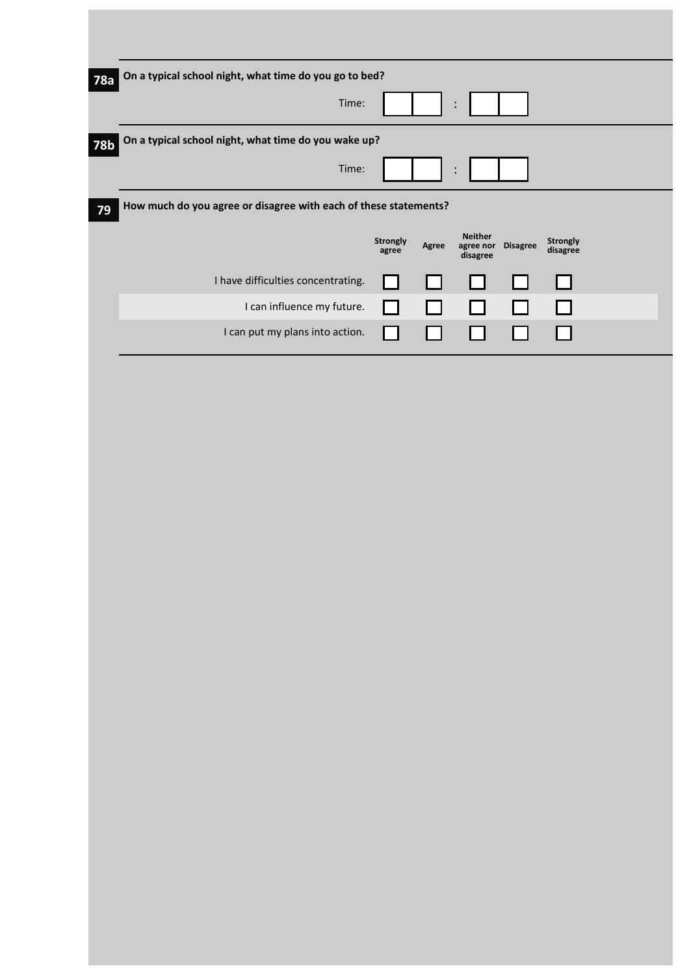| 78a        | On a typical school night, what time do you go to bed?           |                          |       |                                         |                 |                             |  |
|------------|------------------------------------------------------------------|--------------------------|-------|-----------------------------------------|-----------------|-----------------------------|--|
|            | Time:                                                            |                          |       | $\bullet$                               |                 |                             |  |
| <b>78b</b> | On a typical school night, what time do you wake up?             |                          |       |                                         |                 |                             |  |
|            | Time:                                                            |                          |       |                                         |                 |                             |  |
| 79         | How much do you agree or disagree with each of these statements? |                          |       |                                         |                 |                             |  |
|            |                                                                  | <b>Strongly</b><br>agree | Agree | <b>Neither</b><br>agree nor<br>disagree | <b>Disagree</b> | <b>Strongly</b><br>disagree |  |
|            | I have difficulties concentrating.                               |                          |       |                                         |                 |                             |  |
|            | I can influence my future.                                       |                          |       |                                         |                 |                             |  |
|            | I can put my plans into action.                                  |                          |       |                                         |                 |                             |  |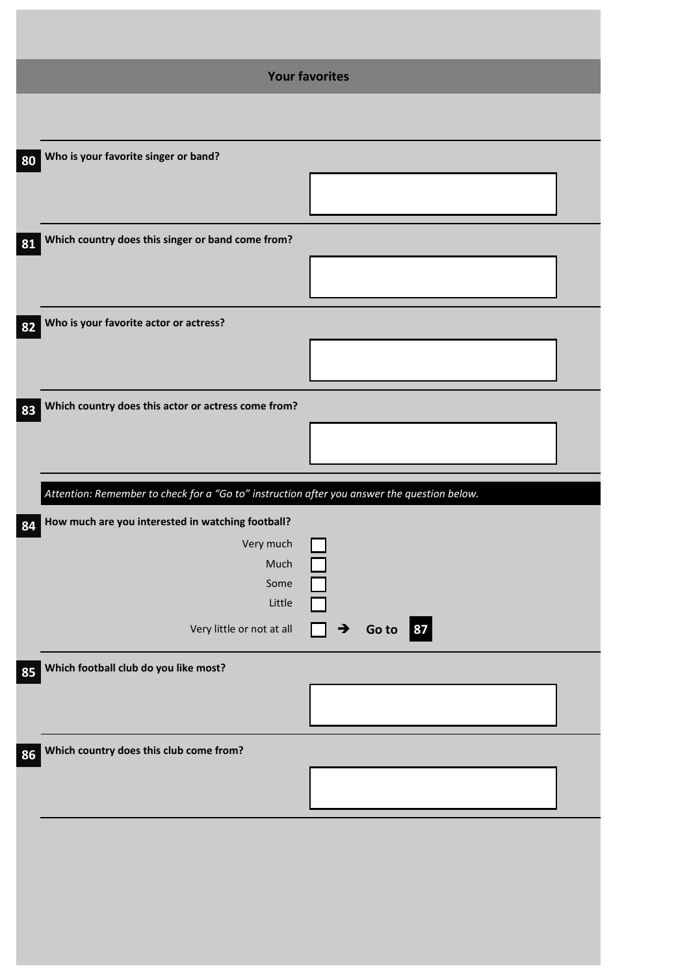|    | <b>Your favorites</b>                                                                       |                  |  |  |  |  |
|----|---------------------------------------------------------------------------------------------|------------------|--|--|--|--|
|    |                                                                                             |                  |  |  |  |  |
| 80 | Who is your favorite singer or band?                                                        |                  |  |  |  |  |
|    |                                                                                             |                  |  |  |  |  |
| 81 | Which country does this singer or band come from?                                           |                  |  |  |  |  |
|    |                                                                                             |                  |  |  |  |  |
| 82 | Who is your favorite actor or actress?                                                      |                  |  |  |  |  |
|    |                                                                                             |                  |  |  |  |  |
| 83 | Which country does this actor or actress come from?                                         |                  |  |  |  |  |
|    |                                                                                             |                  |  |  |  |  |
|    | Attention: Remember to check for a "Go to" instruction after you answer the question below. |                  |  |  |  |  |
|    |                                                                                             |                  |  |  |  |  |
|    | 84 How much are you interested in watching football?                                        |                  |  |  |  |  |
|    | Very much<br>Much                                                                           |                  |  |  |  |  |
|    | Some                                                                                        |                  |  |  |  |  |
|    | Little                                                                                      |                  |  |  |  |  |
|    | Very little or not at all                                                                   | 87<br>Go to<br>→ |  |  |  |  |
| 85 | Which football club do you like most?                                                       |                  |  |  |  |  |
|    |                                                                                             |                  |  |  |  |  |
| 86 | Which country does this club come from?                                                     |                  |  |  |  |  |
|    |                                                                                             |                  |  |  |  |  |
|    |                                                                                             |                  |  |  |  |  |
|    |                                                                                             |                  |  |  |  |  |
|    |                                                                                             |                  |  |  |  |  |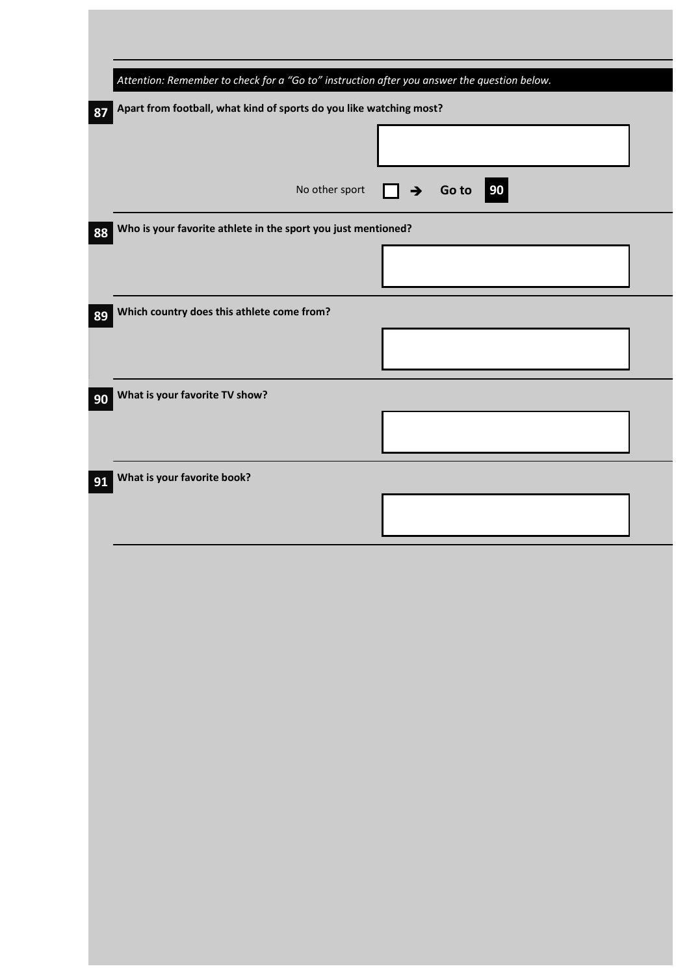|    | Attention: Remember to check for a "Go to" instruction after you answer the question below. |                           |
|----|---------------------------------------------------------------------------------------------|---------------------------|
| 87 | Apart from football, what kind of sports do you like watching most?                         |                           |
|    |                                                                                             |                           |
|    |                                                                                             |                           |
|    | No other sport                                                                              | Go to 90<br>$\rightarrow$ |
| 88 | Who is your favorite athlete in the sport you just mentioned?                               |                           |
|    |                                                                                             |                           |
|    |                                                                                             |                           |
| 89 | Which country does this athlete come from?                                                  |                           |
|    |                                                                                             |                           |
|    |                                                                                             |                           |
| 90 | What is your favorite TV show?                                                              |                           |
|    |                                                                                             |                           |
|    | What is your favorite book?                                                                 |                           |
| 91 |                                                                                             |                           |
|    |                                                                                             |                           |
|    |                                                                                             |                           |
|    |                                                                                             |                           |
|    |                                                                                             |                           |
|    |                                                                                             |                           |
|    |                                                                                             |                           |
|    |                                                                                             |                           |
|    |                                                                                             |                           |
|    |                                                                                             |                           |
|    |                                                                                             |                           |
|    |                                                                                             |                           |
|    |                                                                                             |                           |
|    |                                                                                             |                           |
|    |                                                                                             |                           |
|    |                                                                                             |                           |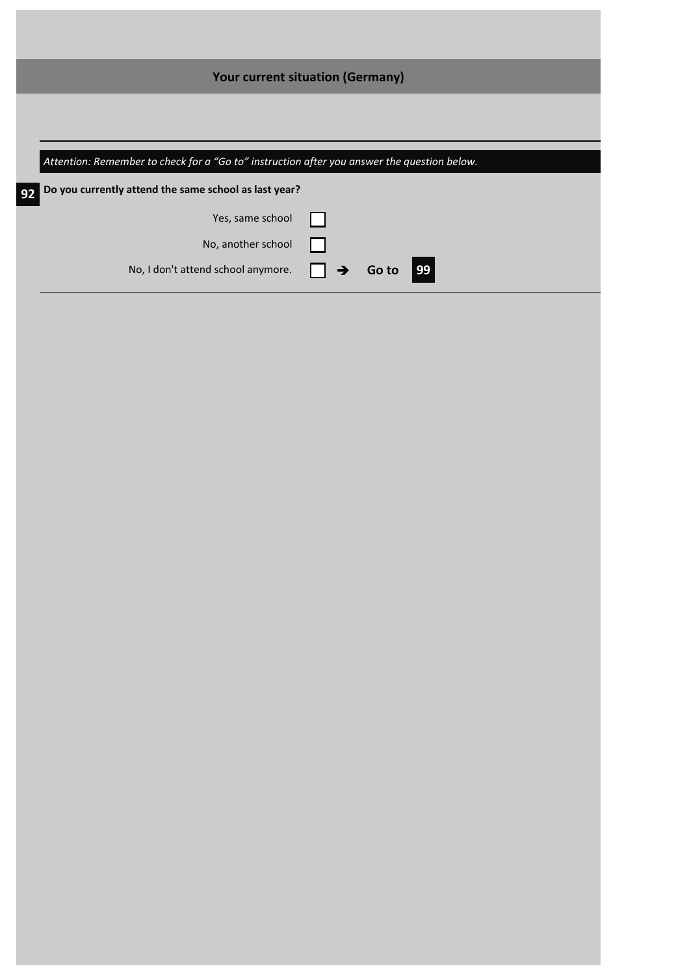|    | <b>Your current situation (Germany)</b>                                                                                                              |       |    |  |
|----|------------------------------------------------------------------------------------------------------------------------------------------------------|-------|----|--|
|    |                                                                                                                                                      |       |    |  |
|    |                                                                                                                                                      |       |    |  |
|    | Attention: Remember to check for a "Go to" instruction after you answer the question below.<br>Do you currently attend the same school as last year? |       |    |  |
| 92 | Yes, same school                                                                                                                                     |       |    |  |
|    | No, another school                                                                                                                                   |       |    |  |
|    | No, I don't attend school anymore.                                                                                                                   | Go to | 99 |  |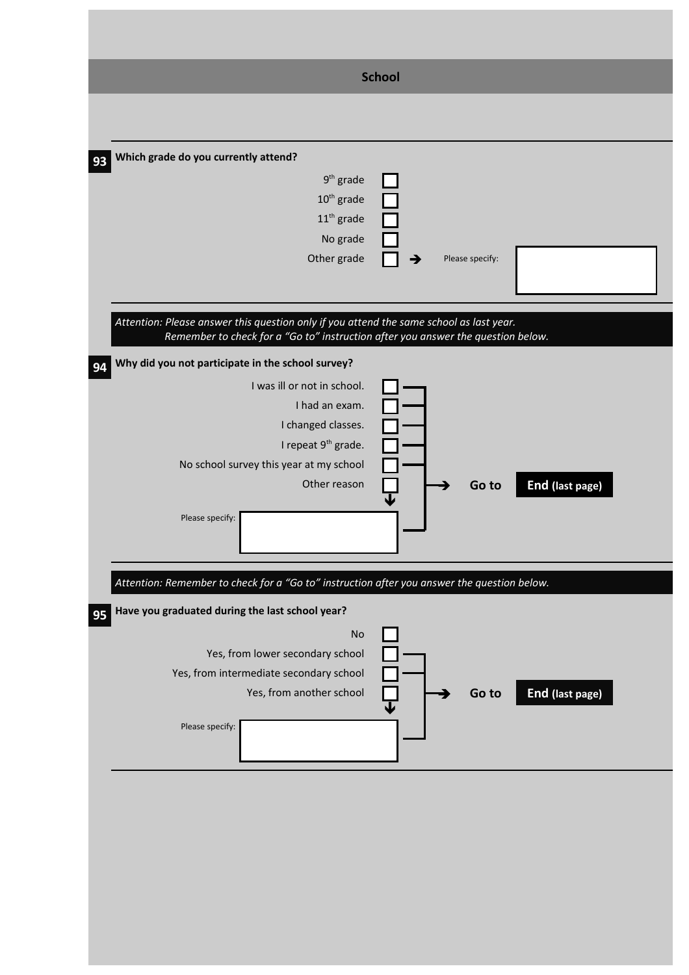|                                                                                                                                                                                                                                                 | <b>School</b>            |
|-------------------------------------------------------------------------------------------------------------------------------------------------------------------------------------------------------------------------------------------------|--------------------------|
|                                                                                                                                                                                                                                                 |                          |
| Which grade do you currently attend?<br>93<br>$9th$ grade<br>$10^{\text{th}}$ grade<br>$11th$ grade<br>No grade<br>Other grade                                                                                                                  | Please specify:          |
| Attention: Please answer this question only if you attend the same school as last year.<br>Remember to check for a "Go to" instruction after you answer the question below.                                                                     |                          |
| Why did you not participate in the school survey?<br>94<br>I was ill or not in school.<br>I had an exam.<br>I changed classes.<br>I repeat 9 <sup>th</sup> grade.<br>No school survey this year at my school<br>Other reason<br>Please specify: | End (last page)<br>Go to |
| Attention: Remember to check for a "Go to" instruction after you answer the question below.                                                                                                                                                     |                          |
| Have you graduated during the last school year?<br>95<br><b>No</b><br>Yes, from lower secondary school<br>Yes, from intermediate secondary school<br>Yes, from another school<br>Please specify:                                                | End (last page)<br>Go to |
|                                                                                                                                                                                                                                                 |                          |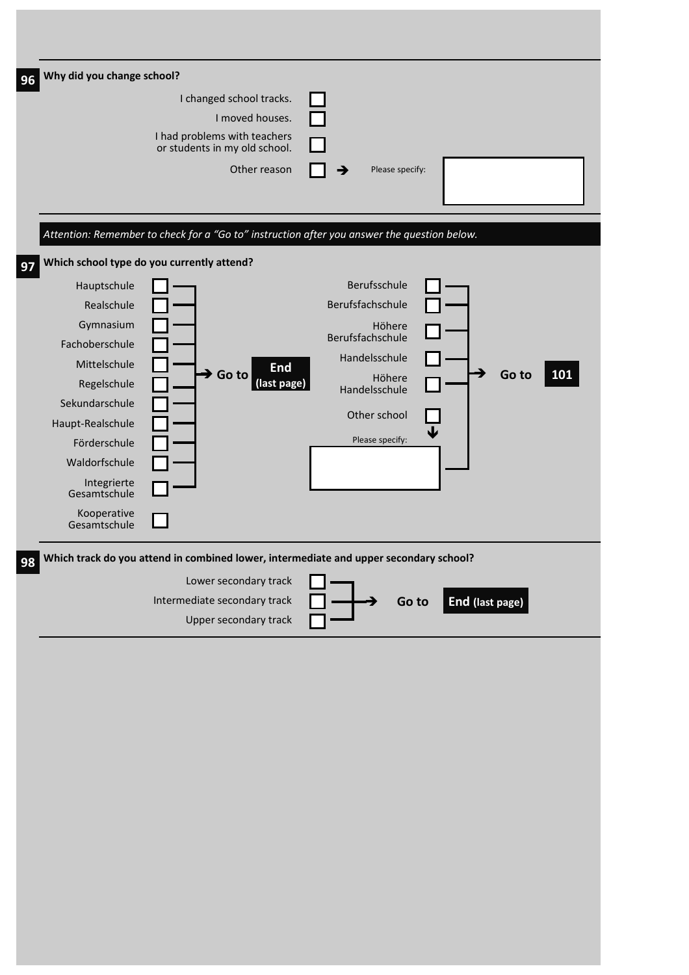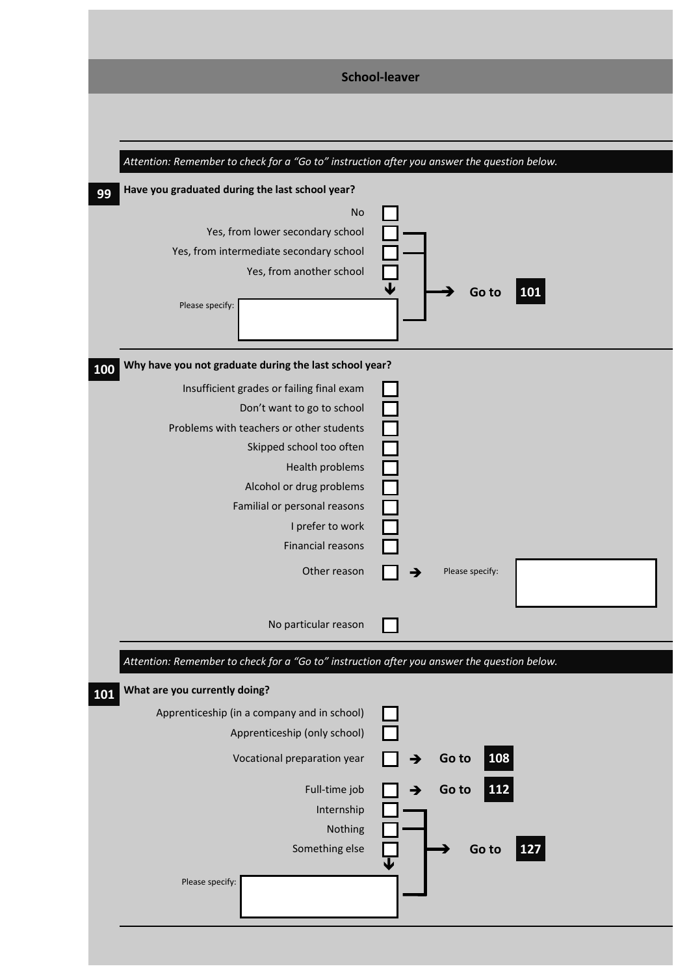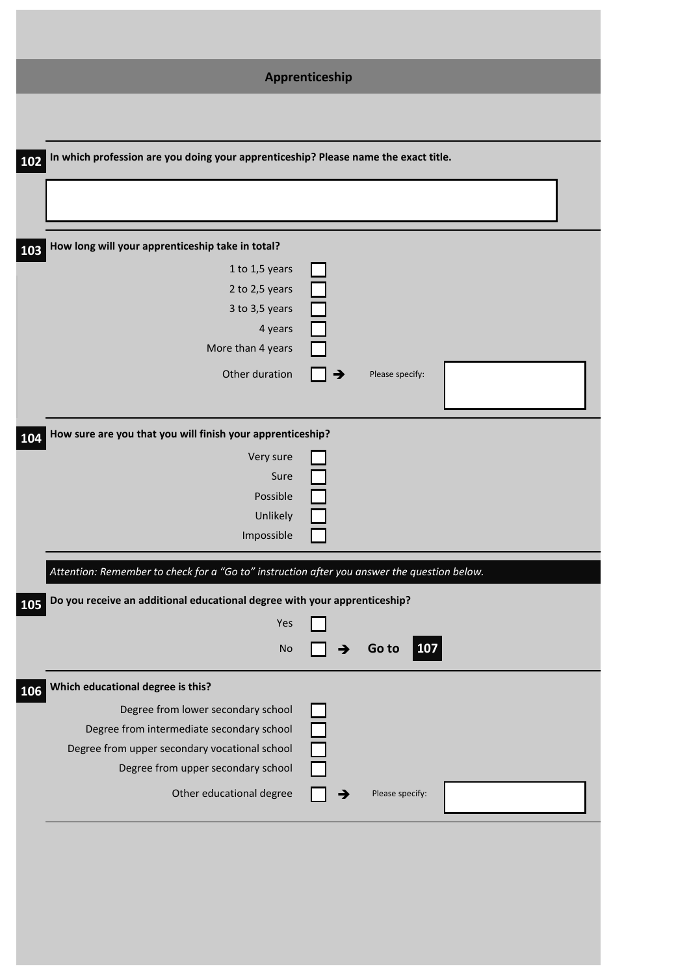|                                                                                                                                                                        | Apprenticeship |                     |  |  |  |  |  |
|------------------------------------------------------------------------------------------------------------------------------------------------------------------------|----------------|---------------------|--|--|--|--|--|
|                                                                                                                                                                        |                |                     |  |  |  |  |  |
| 102 In which profession are you doing your apprenticeship? Please name the exact title.                                                                                |                |                     |  |  |  |  |  |
|                                                                                                                                                                        |                |                     |  |  |  |  |  |
| How long will your apprenticeship take in total?<br>103                                                                                                                |                |                     |  |  |  |  |  |
| 1 to 1,5 years<br>2 to 2,5 years<br>3 to 3,5 years<br>4 years<br>More than 4 years                                                                                     |                |                     |  |  |  |  |  |
| Other duration                                                                                                                                                         | →              | Please specify:     |  |  |  |  |  |
| How sure are you that you will finish your apprenticeship?<br>104                                                                                                      |                |                     |  |  |  |  |  |
| Very sure<br>Sure<br>Possible<br>Unlikely<br>Impossible                                                                                                                |                |                     |  |  |  |  |  |
| Attention: Remember to check for a "Go to" instruction after you answer the question below.                                                                            |                |                     |  |  |  |  |  |
| Do you receive an additional educational degree with your apprenticeship?<br>105<br>Yes<br>No                                                                          |                | <b>107</b><br>Go to |  |  |  |  |  |
| Which educational degree is this?<br>106                                                                                                                               |                |                     |  |  |  |  |  |
| Degree from lower secondary school<br>Degree from intermediate secondary school<br>Degree from upper secondary vocational school<br>Degree from upper secondary school |                |                     |  |  |  |  |  |
| Other educational degree                                                                                                                                               |                | Please specify:     |  |  |  |  |  |
|                                                                                                                                                                        |                |                     |  |  |  |  |  |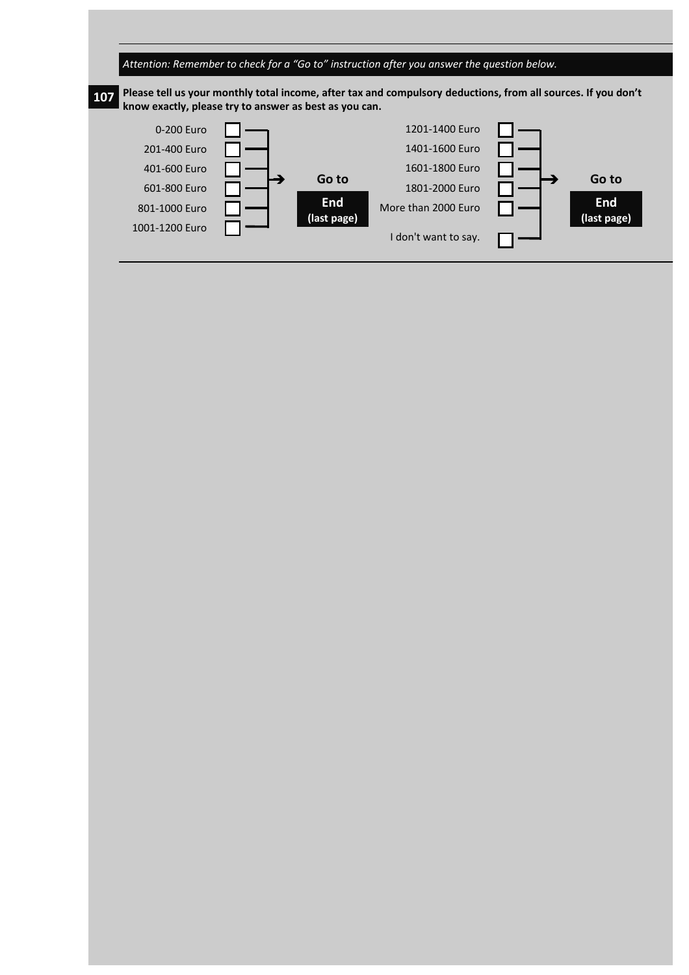

## **107 Please tell us your monthly total income, after tax and compulsory deductions, from all sources. If you don't know exactly, please try to answer as best as you can.**

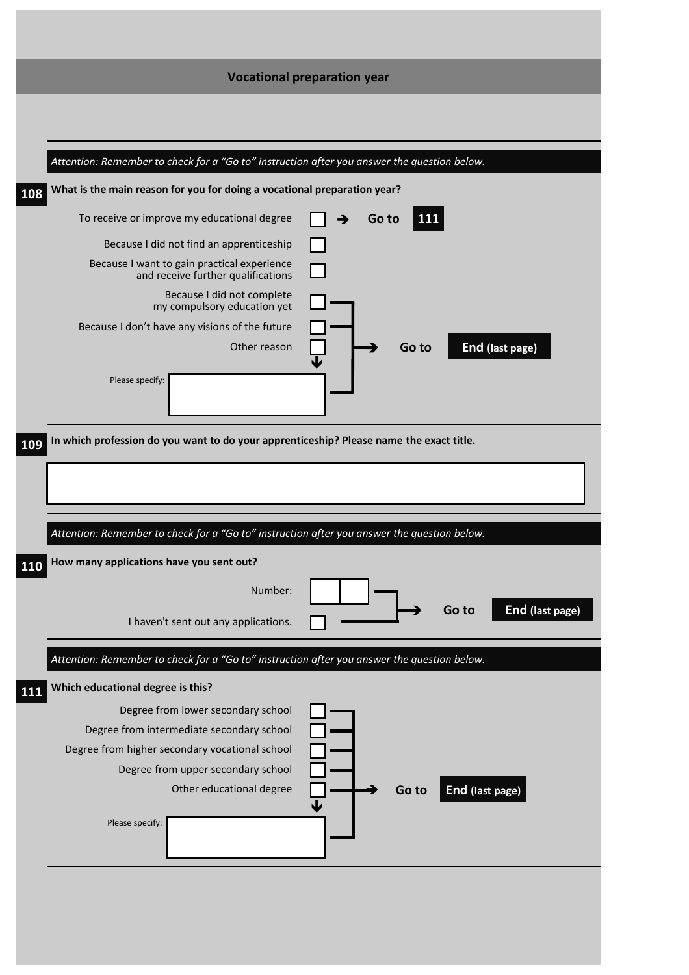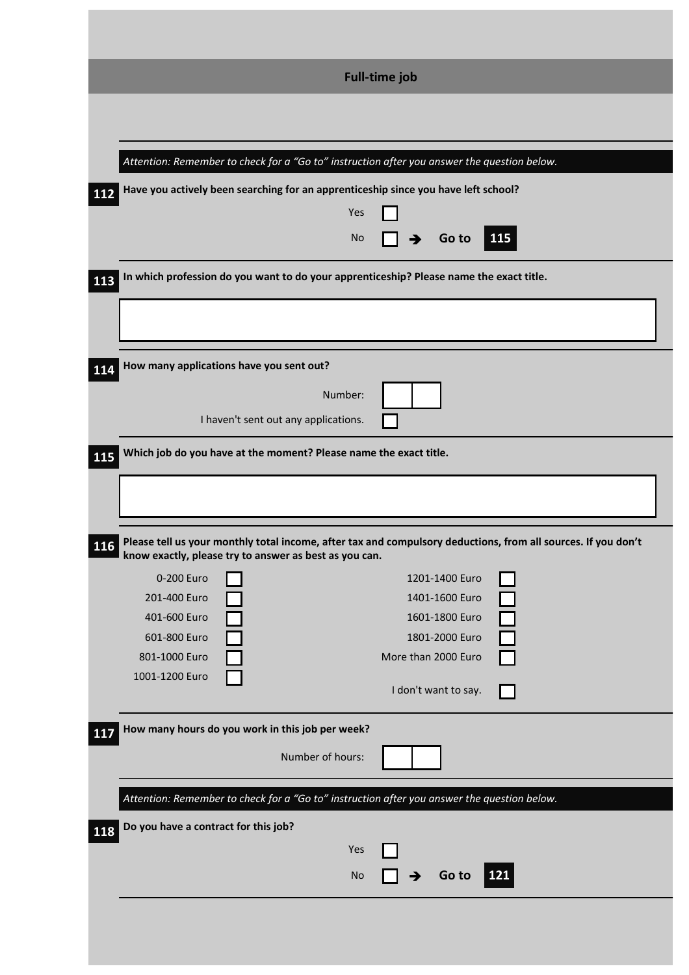| 112                                                                                           | <b>Full-time job</b><br>Attention: Remember to check for a "Go to" instruction after you answer the question below.<br>Have you actively been searching for an apprenticeship since you have left school?<br>Yes<br>115<br>No<br>Go to |
|-----------------------------------------------------------------------------------------------|----------------------------------------------------------------------------------------------------------------------------------------------------------------------------------------------------------------------------------------|
| 113                                                                                           | In which profession do you want to do your apprenticeship? Please name the exact title.                                                                                                                                                |
| 114                                                                                           | How many applications have you sent out?<br>Number:<br>I haven't sent out any applications.                                                                                                                                            |
| 115<br>116                                                                                    | Which job do you have at the moment? Please name the exact title.<br>Please tell us your monthly total income, after tax and compulsory deductions, from all sources. If you don't                                                     |
| 0-200 Euro<br>201-400 Euro<br>401-600 Euro<br>601-800 Euro<br>801-1000 Euro<br>1001-1200 Euro | know exactly, please try to answer as best as you can.<br>1201-1400 Euro<br>1401-1600 Euro<br>1601-1800 Euro<br>1801-2000 Euro<br>More than 2000 Euro<br>I don't want to say.                                                          |
| 117                                                                                           | How many hours do you work in this job per week?<br>Number of hours:                                                                                                                                                                   |
| Do you have a contract for this job?<br>118                                                   | Attention: Remember to check for a "Go to" instruction after you answer the question below.<br>Yes<br>121<br>Go to<br><b>No</b>                                                                                                        |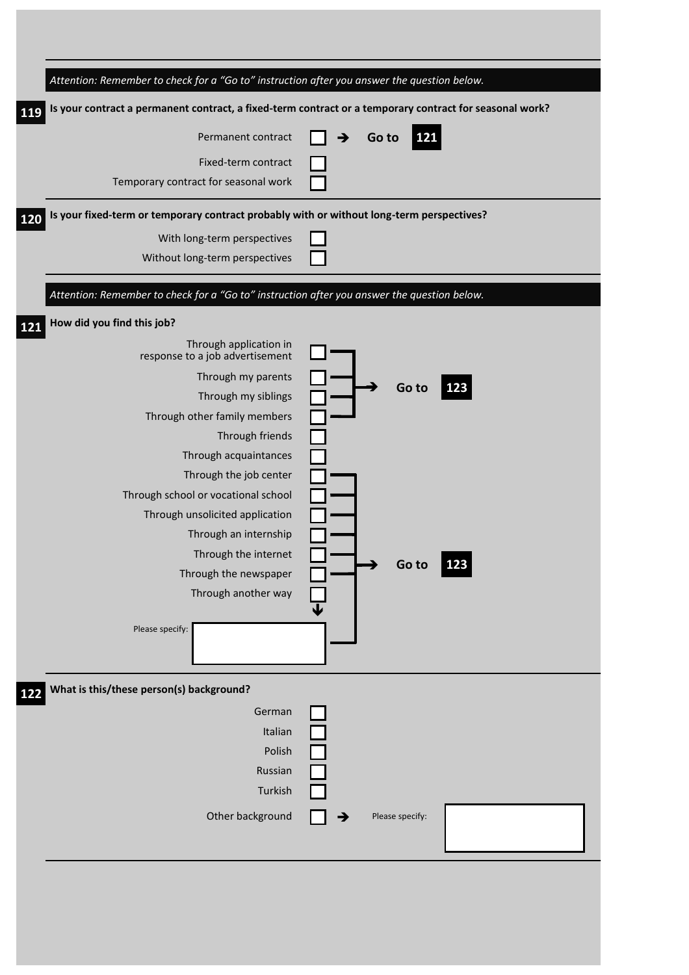| Attention: Remember to check for a "Go to" instruction after you answer the question below.      |                                                                                                         |
|--------------------------------------------------------------------------------------------------|---------------------------------------------------------------------------------------------------------|
| 119                                                                                              | Is your contract a permanent contract, a fixed-term contract or a temporary contract for seasonal work? |
| Permanent contract                                                                               | 121<br>Go to                                                                                            |
| Fixed-term contract                                                                              |                                                                                                         |
| Temporary contract for seasonal work                                                             |                                                                                                         |
| Is your fixed-term or temporary contract probably with or without long-term perspectives?<br>120 |                                                                                                         |
| With long-term perspectives                                                                      |                                                                                                         |
| Without long-term perspectives                                                                   |                                                                                                         |
| Attention: Remember to check for a "Go to" instruction after you answer the question below.      |                                                                                                         |
| How did you find this job?<br>121                                                                |                                                                                                         |
| Through application in<br>response to a job advertisement                                        |                                                                                                         |
| Through my parents                                                                               |                                                                                                         |
| Through my siblings                                                                              | 123<br>Go to                                                                                            |
| Through other family members                                                                     |                                                                                                         |
| Through friends                                                                                  |                                                                                                         |
| Through acquaintances                                                                            |                                                                                                         |
| Through the job center                                                                           |                                                                                                         |
| Through school or vocational school                                                              |                                                                                                         |
| Through unsolicited application                                                                  |                                                                                                         |
| Through an internship                                                                            |                                                                                                         |
| Through the internet                                                                             |                                                                                                         |
| Through the newspaper                                                                            | Go to<br>123                                                                                            |
| Through another way                                                                              |                                                                                                         |
|                                                                                                  |                                                                                                         |
| Please specify:                                                                                  |                                                                                                         |
|                                                                                                  |                                                                                                         |
| What is this/these person(s) background?<br>122                                                  |                                                                                                         |
| German                                                                                           |                                                                                                         |
| Italian                                                                                          |                                                                                                         |
| Polish                                                                                           |                                                                                                         |
| Russian                                                                                          |                                                                                                         |
| Turkish                                                                                          |                                                                                                         |
| Other background                                                                                 |                                                                                                         |
|                                                                                                  | Please specify:                                                                                         |
|                                                                                                  |                                                                                                         |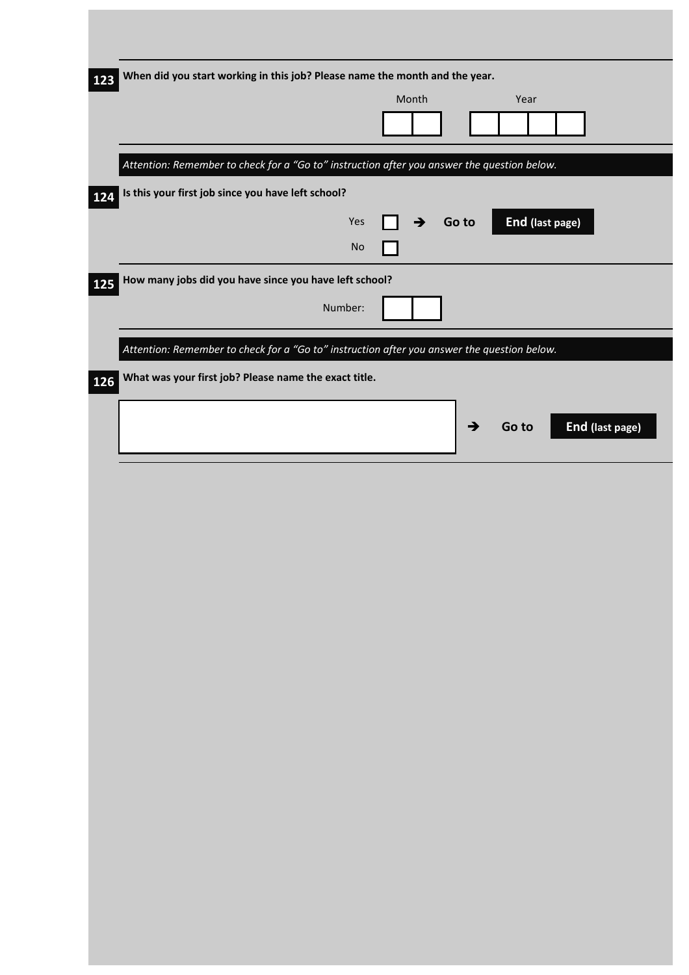| When did you start working in this job? Please name the month and the year.<br>Month<br>Year<br>Attention: Remember to check for a "Go to" instruction after you answer the question below.<br>Is this your first job since you have left school?<br>End (last page)<br>Yes<br>Go to<br>$\rightarrow$<br>$\mathsf{No}$<br>How many jobs did you have since you have left school?<br>Number:<br>Attention: Remember to check for a "Go to" instruction after you answer the question below.<br>What was your first job? Please name the exact title.<br>$\boxed{126}$<br>End (last page)<br>→<br>Go to |     |  |  |  |
|-------------------------------------------------------------------------------------------------------------------------------------------------------------------------------------------------------------------------------------------------------------------------------------------------------------------------------------------------------------------------------------------------------------------------------------------------------------------------------------------------------------------------------------------------------------------------------------------------------|-----|--|--|--|
|                                                                                                                                                                                                                                                                                                                                                                                                                                                                                                                                                                                                       | 123 |  |  |  |
|                                                                                                                                                                                                                                                                                                                                                                                                                                                                                                                                                                                                       |     |  |  |  |
|                                                                                                                                                                                                                                                                                                                                                                                                                                                                                                                                                                                                       |     |  |  |  |
|                                                                                                                                                                                                                                                                                                                                                                                                                                                                                                                                                                                                       |     |  |  |  |
|                                                                                                                                                                                                                                                                                                                                                                                                                                                                                                                                                                                                       |     |  |  |  |
|                                                                                                                                                                                                                                                                                                                                                                                                                                                                                                                                                                                                       |     |  |  |  |
|                                                                                                                                                                                                                                                                                                                                                                                                                                                                                                                                                                                                       |     |  |  |  |
|                                                                                                                                                                                                                                                                                                                                                                                                                                                                                                                                                                                                       |     |  |  |  |
|                                                                                                                                                                                                                                                                                                                                                                                                                                                                                                                                                                                                       |     |  |  |  |
|                                                                                                                                                                                                                                                                                                                                                                                                                                                                                                                                                                                                       |     |  |  |  |
|                                                                                                                                                                                                                                                                                                                                                                                                                                                                                                                                                                                                       |     |  |  |  |
|                                                                                                                                                                                                                                                                                                                                                                                                                                                                                                                                                                                                       |     |  |  |  |
|                                                                                                                                                                                                                                                                                                                                                                                                                                                                                                                                                                                                       |     |  |  |  |
|                                                                                                                                                                                                                                                                                                                                                                                                                                                                                                                                                                                                       |     |  |  |  |
|                                                                                                                                                                                                                                                                                                                                                                                                                                                                                                                                                                                                       |     |  |  |  |
|                                                                                                                                                                                                                                                                                                                                                                                                                                                                                                                                                                                                       |     |  |  |  |
|                                                                                                                                                                                                                                                                                                                                                                                                                                                                                                                                                                                                       |     |  |  |  |
|                                                                                                                                                                                                                                                                                                                                                                                                                                                                                                                                                                                                       |     |  |  |  |
|                                                                                                                                                                                                                                                                                                                                                                                                                                                                                                                                                                                                       |     |  |  |  |
|                                                                                                                                                                                                                                                                                                                                                                                                                                                                                                                                                                                                       |     |  |  |  |
|                                                                                                                                                                                                                                                                                                                                                                                                                                                                                                                                                                                                       |     |  |  |  |
|                                                                                                                                                                                                                                                                                                                                                                                                                                                                                                                                                                                                       |     |  |  |  |
|                                                                                                                                                                                                                                                                                                                                                                                                                                                                                                                                                                                                       |     |  |  |  |
|                                                                                                                                                                                                                                                                                                                                                                                                                                                                                                                                                                                                       |     |  |  |  |
|                                                                                                                                                                                                                                                                                                                                                                                                                                                                                                                                                                                                       |     |  |  |  |
|                                                                                                                                                                                                                                                                                                                                                                                                                                                                                                                                                                                                       |     |  |  |  |
|                                                                                                                                                                                                                                                                                                                                                                                                                                                                                                                                                                                                       |     |  |  |  |
|                                                                                                                                                                                                                                                                                                                                                                                                                                                                                                                                                                                                       |     |  |  |  |
|                                                                                                                                                                                                                                                                                                                                                                                                                                                                                                                                                                                                       |     |  |  |  |
|                                                                                                                                                                                                                                                                                                                                                                                                                                                                                                                                                                                                       |     |  |  |  |
|                                                                                                                                                                                                                                                                                                                                                                                                                                                                                                                                                                                                       |     |  |  |  |
|                                                                                                                                                                                                                                                                                                                                                                                                                                                                                                                                                                                                       |     |  |  |  |
|                                                                                                                                                                                                                                                                                                                                                                                                                                                                                                                                                                                                       |     |  |  |  |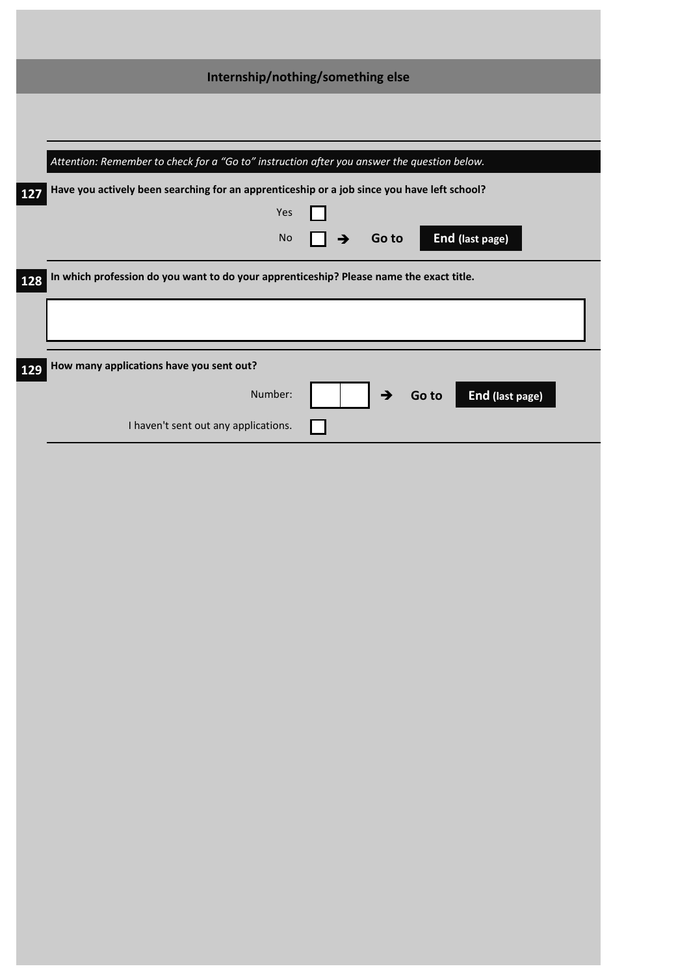|     | Internship/nothing/something else                                                                |
|-----|--------------------------------------------------------------------------------------------------|
|     |                                                                                                  |
|     | Attention: Remember to check for a "Go to" instruction after you answer the question below.      |
| 127 | Have you actively been searching for an apprenticeship or a job since you have left school?      |
|     | Yes                                                                                              |
|     | End (last page)<br>$\mathsf{No}$<br>Go to<br>$\rightarrow$                                       |
| 128 | In which profession do you want to do your apprenticeship? Please name the exact title.          |
|     |                                                                                                  |
|     |                                                                                                  |
| 129 | How many applications have you sent out?<br>Number:<br>End (last page)<br>$\rightarrow$<br>Go to |
|     | I haven't sent out any applications.                                                             |
|     |                                                                                                  |
|     |                                                                                                  |
|     |                                                                                                  |
|     |                                                                                                  |
|     |                                                                                                  |
|     |                                                                                                  |
|     |                                                                                                  |
|     |                                                                                                  |
|     |                                                                                                  |
|     |                                                                                                  |
|     |                                                                                                  |
|     |                                                                                                  |
|     |                                                                                                  |
|     |                                                                                                  |
|     |                                                                                                  |
|     |                                                                                                  |
|     |                                                                                                  |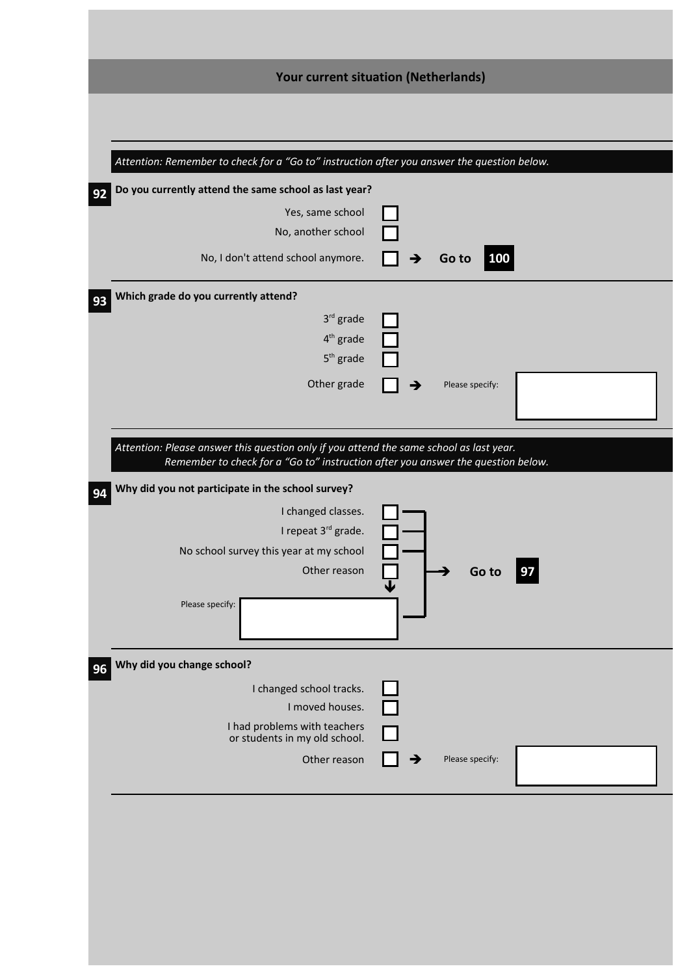| <b>Your current situation (Netherlands)</b><br>Attention: Remember to check for a "Go to" instruction after you answer the question below.<br>Do you currently attend the same school as last year?<br>92<br>Yes, same school<br>No, another school<br>No, I don't attend school anymore. |                 |
|-------------------------------------------------------------------------------------------------------------------------------------------------------------------------------------------------------------------------------------------------------------------------------------------|-----------------|
|                                                                                                                                                                                                                                                                                           |                 |
|                                                                                                                                                                                                                                                                                           |                 |
|                                                                                                                                                                                                                                                                                           |                 |
|                                                                                                                                                                                                                                                                                           |                 |
|                                                                                                                                                                                                                                                                                           |                 |
|                                                                                                                                                                                                                                                                                           | 100<br>Go to    |
| Which grade do you currently attend?                                                                                                                                                                                                                                                      |                 |
| $3rd$ grade                                                                                                                                                                                                                                                                               |                 |
| $4th$ grade                                                                                                                                                                                                                                                                               |                 |
| $5th$ grade                                                                                                                                                                                                                                                                               |                 |
| Other grade                                                                                                                                                                                                                                                                               | Please specify: |
|                                                                                                                                                                                                                                                                                           |                 |
| Attention: Please answer this question only if you attend the same school as last year.<br>Remember to check for a "Go to" instruction after you answer the question below.                                                                                                               |                 |
| Why did you not participate in the school survey?                                                                                                                                                                                                                                         |                 |
| I changed classes.                                                                                                                                                                                                                                                                        |                 |
| I repeat 3rd grade.                                                                                                                                                                                                                                                                       |                 |
| No school survey this year at my school<br>Other reason                                                                                                                                                                                                                                   | Go to<br>  97   |
|                                                                                                                                                                                                                                                                                           |                 |
| Please specify:                                                                                                                                                                                                                                                                           |                 |
| Why did you change school?                                                                                                                                                                                                                                                                |                 |
| I changed school tracks.                                                                                                                                                                                                                                                                  |                 |
| I moved houses.<br>I had problems with teachers                                                                                                                                                                                                                                           |                 |
| or students in my old school.                                                                                                                                                                                                                                                             |                 |
| Other reason                                                                                                                                                                                                                                                                              | Please specify: |
|                                                                                                                                                                                                                                                                                           |                 |
|                                                                                                                                                                                                                                                                                           |                 |
|                                                                                                                                                                                                                                                                                           |                 |
|                                                                                                                                                                                                                                                                                           |                 |
|                                                                                                                                                                                                                                                                                           |                 |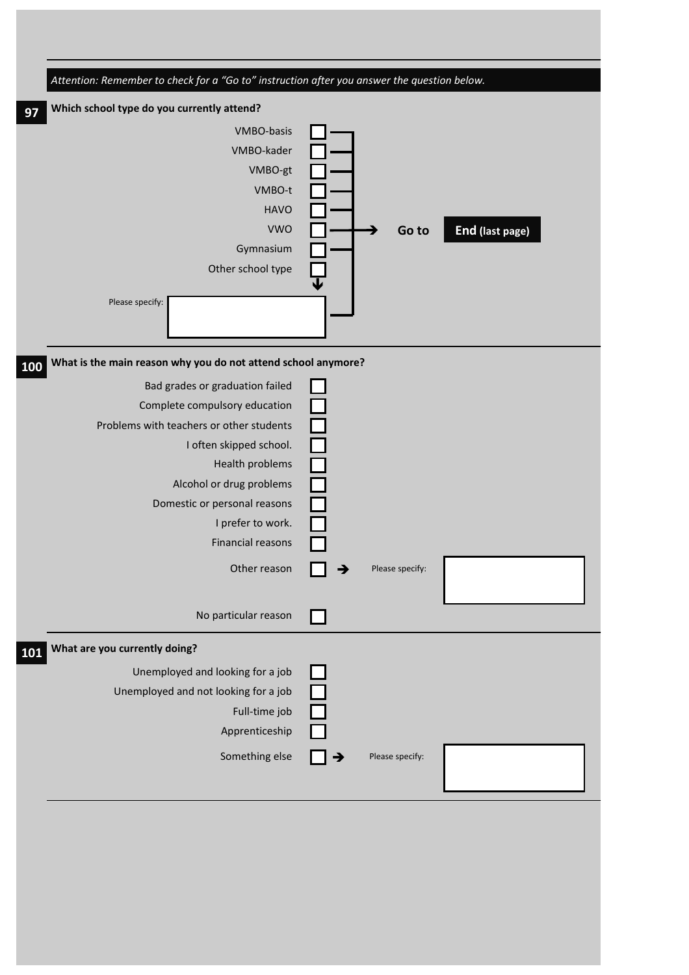| Attention: Remember to check for a "Go to" instruction after you answer the question below. |                          |
|---------------------------------------------------------------------------------------------|--------------------------|
| Which school type do you currently attend?<br>97                                            |                          |
| VMBO-basis                                                                                  |                          |
| VMBO-kader                                                                                  |                          |
| VMBO-gt                                                                                     |                          |
| VMBO-t                                                                                      |                          |
| <b>HAVO</b>                                                                                 |                          |
| <b>VWO</b>                                                                                  | End (last page)<br>Go to |
| Gymnasium                                                                                   |                          |
| Other school type                                                                           |                          |
| Please specify:                                                                             |                          |
| What is the main reason why you do not attend school anymore?<br>100                        |                          |
| Bad grades or graduation failed                                                             |                          |
| Complete compulsory education                                                               |                          |
| Problems with teachers or other students                                                    |                          |
| I often skipped school.                                                                     |                          |
| Health problems                                                                             |                          |
| Alcohol or drug problems                                                                    |                          |
| Domestic or personal reasons                                                                |                          |
| I prefer to work.                                                                           |                          |
| Financial reasons                                                                           |                          |
| Other reason                                                                                | Please specify:<br>→     |
| No particular reason                                                                        |                          |
| What are you currently doing?<br>101                                                        |                          |
| Unemployed and looking for a job                                                            |                          |
| Unemployed and not looking for a job                                                        |                          |
| Full-time job                                                                               |                          |
| Apprenticeship                                                                              |                          |
| Something else                                                                              | Please specify:          |
|                                                                                             |                          |